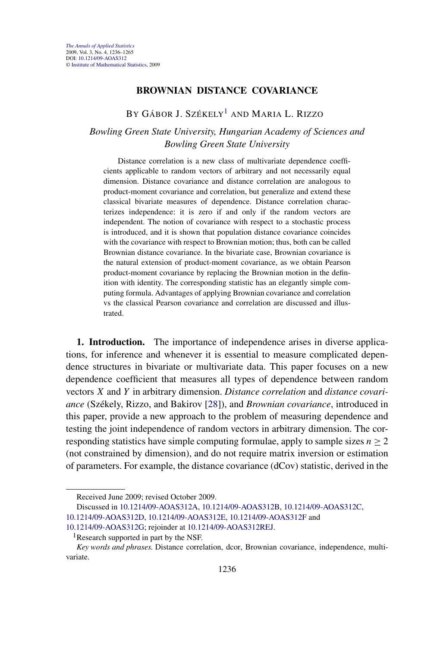### **BROWNIAN DISTANCE COVARIANCE**

# BY GÁBOR J. SZÉKELY<sup>1</sup> AND MARIA L. RIZZO

## *Bowling Green State University, Hungarian Academy of Sciences and Bowling Green State University*

Distance correlation is a new class of multivariate dependence coefficients applicable to random vectors of arbitrary and not necessarily equal dimension. Distance covariance and distance correlation are analogous to product-moment covariance and correlation, but generalize and extend these classical bivariate measures of dependence. Distance correlation characterizes independence: it is zero if and only if the random vectors are independent. The notion of covariance with respect to a stochastic process is introduced, and it is shown that population distance covariance coincides with the covariance with respect to Brownian motion; thus, both can be called Brownian distance covariance. In the bivariate case, Brownian covariance is the natural extension of product-moment covariance, as we obtain Pearson product-moment covariance by replacing the Brownian motion in the definition with identity. The corresponding statistic has an elegantly simple computing formula. Advantages of applying Brownian covariance and correlation vs the classical Pearson covariance and correlation are discussed and illustrated.

**1. Introduction.** The importance of independence arises in diverse applications, for inference and whenever it is essential to measure complicated dependence structures in bivariate or multivariate data. This paper focuses on a new dependence coefficient that measures all types of dependence between random vectors *X* and *Y* in arbitrary dimension. *Distance correlation* and *distance covariance* (Székely, Rizzo, and Bakirov [\[28\]](#page-29-0)), and *Brownian covariance*, introduced in this paper, provide a new approach to the problem of measuring dependence and testing the joint independence of random vectors in arbitrary dimension. The corresponding statistics have simple computing formulae, apply to sample sizes  $n > 2$ (not constrained by dimension), and do not require matrix inversion or estimation of parameters. For example, the distance covariance (dCov) statistic, derived in the

Discussed in [10.1214/09-AOAS312A](http://dx.doi.org/10.1214/09-AOAS312A), [10.1214/09-AOAS312B](http://dx.doi.org/10.1214/09-AOAS312B), [10.1214/09-AOAS312C](http://dx.doi.org/10.1214/09-AOAS312C),

[10.1214/09-AOAS312D](http://dx.doi.org/10.1214/09-AOAS312D), [10.1214/09-AOAS312E](http://dx.doi.org/10.1214/09-AOAS312E), [10.1214/09-AOAS312F](http://dx.doi.org/10.1214/09-AOAS312F) and

Received June 2009; revised October 2009.

[<sup>10.1214/09-</sup>AOAS312G](http://dx.doi.org/10.1214/09-AOAS312G); rejoinder at [10.1214/09-AOAS312REJ](http://dx.doi.org/10.1214/09-AOAS312REJ).

<sup>&</sup>lt;sup>1</sup>Research supported in part by the NSF.

*Key words and phrases.* Distance correlation, dcor, Brownian covariance, independence, multivariate.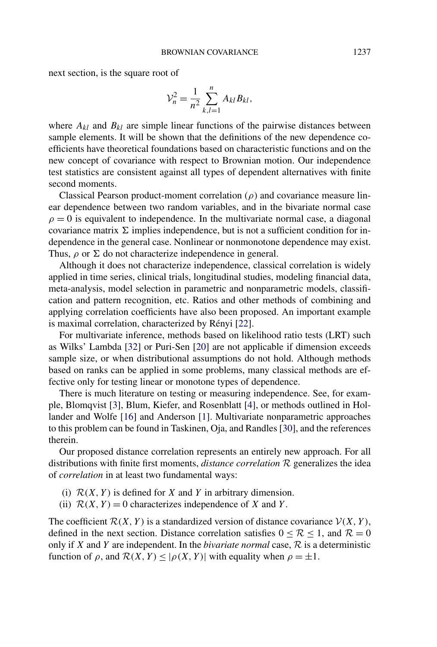next section, is the square root of

$$
\mathcal{V}_n^2 = \frac{1}{n^2} \sum_{k,l=1}^n A_{kl} B_{kl},
$$

where  $A_{kl}$  and  $B_{kl}$  are simple linear functions of the pairwise distances between sample elements. It will be shown that the definitions of the new dependence coefficients have theoretical foundations based on characteristic functions and on the new concept of covariance with respect to Brownian motion. Our independence test statistics are consistent against all types of dependent alternatives with finite second moments.

Classical Pearson product-moment correlation (*ρ*) and covariance measure linear dependence between two random variables, and in the bivariate normal case  $\rho = 0$  is equivalent to independence. In the multivariate normal case, a diagonal covariance matrix  $\Sigma$  implies independence, but is not a sufficient condition for independence in the general case. Nonlinear or nonmonotone dependence may exist. Thus,  $\rho$  or  $\Sigma$  do not characterize independence in general.

Although it does not characterize independence, classical correlation is widely applied in time series, clinical trials, longitudinal studies, modeling financial data, meta-analysis, model selection in parametric and nonparametric models, classification and pattern recognition, etc. Ratios and other methods of combining and applying correlation coefficients have also been proposed. An important example is maximal correlation, characterized by Rényi [\[22\]](#page-29-0).

For multivariate inference, methods based on likelihood ratio tests (LRT) such as Wilks' Lambda [\[32\]](#page-29-0) or Puri-Sen [\[20\]](#page-29-0) are not applicable if dimension exceeds sample size, or when distributional assumptions do not hold. Although methods based on ranks can be applied in some problems, many classical methods are effective only for testing linear or monotone types of dependence.

There is much literature on testing or measuring independence. See, for example, Blomqvist [\[3\]](#page-28-0), Blum, Kiefer, and Rosenblatt [\[4\]](#page-28-0), or methods outlined in Hollander and Wolfe [\[16\]](#page-28-0) and Anderson [\[1\]](#page-28-0). Multivariate nonparametric approaches to this problem can be found in Taskinen, Oja, and Randles [\[30\]](#page-29-0), and the references therein.

Our proposed distance correlation represents an entirely new approach. For all distributions with finite first moments, *distance correlation* R generalizes the idea of *correlation* in at least two fundamental ways:

- (i)  $\mathcal{R}(X, Y)$  is defined for *X* and *Y* in arbitrary dimension.
- (ii)  $\mathcal{R}(X, Y) = 0$  characterizes independence of *X* and *Y*.

The coefficient  $\mathcal{R}(X, Y)$  is a standardized version of distance covariance  $\mathcal{V}(X, Y)$ , defined in the next section. Distance correlation satisfies  $0 \leq R \leq 1$ , and  $R = 0$ only if *X* and *Y* are independent. In the *bivariate normal* case, R is a deterministic function of  $\rho$ , and  $\mathcal{R}(X, Y) \leq |\rho(X, Y)|$  with equality when  $\rho = \pm 1$ .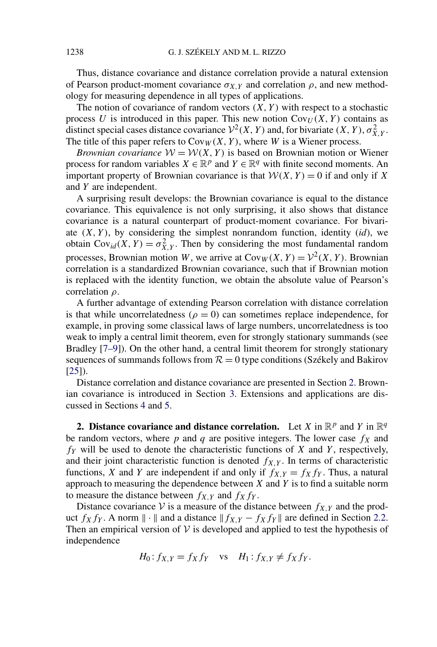Thus, distance covariance and distance correlation provide a natural extension of Pearson product-moment covariance  $\sigma_{X,Y}$  and correlation  $\rho$ , and new methodology for measuring dependence in all types of applications.

The notion of covariance of random vectors  $(X, Y)$  with respect to a stochastic process  $U$  is introduced in this paper. This new notion  $Cov_U(X, Y)$  contains as distinct special cases distance covariance  $V^2(X, Y)$  and, for bivariate  $(X, Y), \sigma^2_{X, Y}$ . The title of this paper refers to  $Cov_W(X, Y)$ , where *W* is a Wiener process.

*Brownian covariance*  $W = W(X, Y)$  is based on Brownian motion or Wiener process for random variables  $X \in \mathbb{R}^p$  and  $Y \in \mathbb{R}^q$  with finite second moments. An important property of Brownian covariance is that  $W(X, Y) = 0$  if and only if X and *Y* are independent.

A surprising result develops: the Brownian covariance is equal to the distance covariance. This equivalence is not only surprising, it also shows that distance covariance is a natural counterpart of product-moment covariance. For bivariate  $(X, Y)$ , by considering the simplest nonrandom function, identity  $(id)$ , we obtain  $Cov_{id}(X, Y) = \sigma_{X, Y}^2$ . Then by considering the most fundamental random processes, Brownian motion *W*, we arrive at  $Cov_W(X, Y) = \mathcal{V}^2(X, Y)$ . Brownian correlation is a standardized Brownian covariance, such that if Brownian motion is replaced with the identity function, we obtain the absolute value of Pearson's correlation *ρ*.

A further advantage of extending Pearson correlation with distance correlation is that while uncorrelatedness ( $\rho = 0$ ) can sometimes replace independence, for example, in proving some classical laws of large numbers, uncorrelatedness is too weak to imply a central limit theorem, even for strongly stationary summands (see Bradley [\[7–9\]](#page-28-0)). On the other hand, a central limit theorem for strongly stationary sequences of summands follows from  $R = 0$  type conditions (Székely and Bakirov  $[25]$ .

Distance correlation and distance covariance are presented in Section 2. Brownian covariance is introduced in Section [3.](#page-11-0) Extensions and applications are discussed in Sections [4](#page-15-0) and [5.](#page-17-0)

**2. Distance covariance and distance correlation.** Let *X* in  $\mathbb{R}^p$  and *Y* in  $\mathbb{R}^q$ be random vectors, where  $p$  and  $q$  are positive integers. The lower case  $f_X$  and *fY* will be used to denote the characteristic functions of *X* and *Y* , respectively, and their joint characteristic function is denoted  $f_{X,Y}$ . In terms of characteristic functions, *X* and *Y* are independent if and only if  $f_{X,Y} = f_X f_Y$ . Thus, a natural approach to measuring the dependence between *X* and *Y* is to find a suitable norm to measure the distance between  $f_{X,Y}$  and  $f_Xf_Y$ .

Distance covariance  $V$  is a measure of the distance between  $f_{X,Y}$  and the product *f<sub>X</sub> f<sub>Y</sub>*. A norm  $\| \cdot \|$  and a distance  $\| f_{X,Y} - f_X f_Y \|$  are defined in Section [2.2.](#page-5-0) Then an empirical version of  $V$  is developed and applied to test the hypothesis of independence

$$
H_0: f_{X,Y} = f_X f_Y \quad \text{vs} \quad H_1: f_{X,Y} \neq f_X f_Y.
$$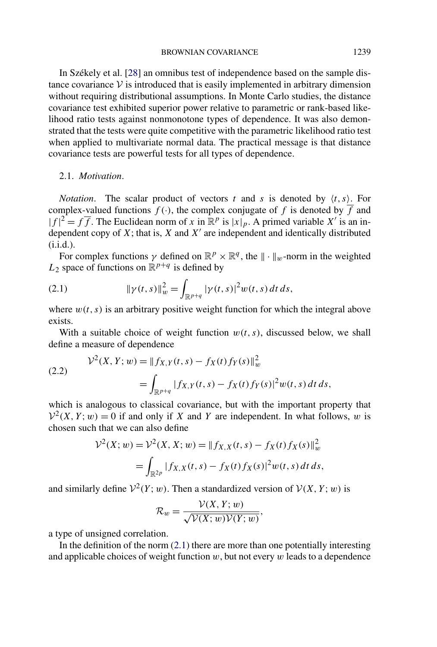<span id="page-3-0"></span>In Székely et al. [\[28\]](#page-29-0) an omnibus test of independence based on the sample distance covariance  $V$  is introduced that is easily implemented in arbitrary dimension without requiring distributional assumptions. In Monte Carlo studies, the distance covariance test exhibited superior power relative to parametric or rank-based likelihood ratio tests against nonmonotone types of dependence. It was also demonstrated that the tests were quite competitive with the parametric likelihood ratio test when applied to multivariate normal data. The practical message is that distance covariance tests are powerful tests for all types of dependence.

### 2.1. *Motivation*.

*Notation.* The scalar product of vectors *t* and *s* is denoted by  $\langle t, s \rangle$ . For complex-valued functions  $f(\cdot)$ , the complex conjugate of f is denoted by  $\overline{f}$  and  $|f|^2 = f\overline{f}$ . The Euclidean norm of *x* in  $\mathbb{R}^p$  is  $|x|_p$ . A primed variable *X'* is an independent copy of  $X$ ; that is,  $X$  and  $X'$  are independent and identically distributed (i.i.d.).

For complex functions  $\gamma$  defined on  $\mathbb{R}^p \times \mathbb{R}^q$ , the  $\|\cdot\|_w$ -norm in the weighted  $L_2$  space of functions on  $\mathbb{R}^{p+q}$  is defined by

(2.1) 
$$
\|\gamma(t,s)\|_{w}^{2} = \int_{\mathbb{R}^{p+q}} |\gamma(t,s)|^{2} w(t,s) dt ds,
$$

where  $w(t, s)$  is an arbitrary positive weight function for which the integral above exists.

With a suitable choice of weight function  $w(t, s)$ , discussed below, we shall define a measure of dependence

(2.2) 
$$
\mathcal{V}^2(X, Y; w) = ||f_{X,Y}(t, s) - f_X(t) f_Y(s)||_w^2
$$

$$
= \int_{\mathbb{R}^{p+q}} |f_{X,Y}(t, s) - f_X(t) f_Y(s)|^2 w(t, s) dt ds,
$$

which is analogous to classical covariance, but with the important property that  $V^2(X, Y; w) = 0$  if and only if X and Y are independent. In what follows, w is chosen such that we can also define

$$
\mathcal{V}^2(X; w) = \mathcal{V}^2(X, X; w) = ||f_{X,X}(t, s) - f_X(t) f_X(s)||_w^2
$$
  
= 
$$
\int_{\mathbb{R}^{2p}} |f_{X,X}(t, s) - f_X(t) f_X(s)|^2 w(t, s) dt ds,
$$

and similarly define  $V^2(Y; w)$ . Then a standardized version of  $V(X, Y; w)$  is

$$
\mathcal{R}_w = \frac{\mathcal{V}(X, Y; w)}{\sqrt{\mathcal{V}(X; w)\mathcal{V}(Y; w)}},
$$

a type of unsigned correlation.

In the definition of the norm  $(2.1)$  there are more than one potentially interesting and applicable choices of weight function *w*, but not every *w* leads to a dependence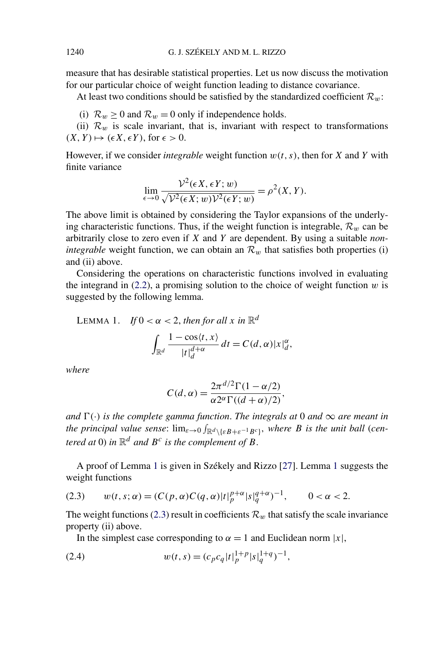measure that has desirable statistical properties. Let us now discuss the motivation for our particular choice of weight function leading to distance covariance.

At least two conditions should be satisfied by the standardized coefficient  $\mathcal{R}_w$ :

(i)  $\mathcal{R}_w \ge 0$  and  $\mathcal{R}_w = 0$  only if independence holds.

(ii)  $\mathcal{R}_w$  is scale invariant, that is, invariant with respect to transformations  $(X, Y) \mapsto (\epsilon X, \epsilon Y)$ , for  $\epsilon > 0$ .

However, if we consider *integrable* weight function *w(t, s)*, then for *X* and *Y* with finite variance

$$
\lim_{\epsilon \to 0} \frac{\mathcal{V}^2(\epsilon X, \epsilon Y; w)}{\sqrt{\mathcal{V}^2(\epsilon X; w)\mathcal{V}^2(\epsilon Y; w)}} = \rho^2(X, Y).
$$

The above limit is obtained by considering the Taylor expansions of the underlying characteristic functions. Thus, if the weight function is integrable,  $\mathcal{R}_w$  can be arbitrarily close to zero even if *X* and *Y* are dependent. By using a suitable *nonintegrable* weight function, we can obtain an  $\mathcal{R}_w$  that satisfies both properties (i) and (ii) above.

Considering the operations on characteristic functions involved in evaluating the integrand in  $(2.2)$ , a promising solution to the choice of weight function  $w$  is suggested by the following lemma.

LEMMA 1. If 
$$
0 < \alpha < 2
$$
, then for all x in  $\mathbb{R}^d$   

$$
\int_{\mathbb{R}^d} \frac{1 - \cos\langle t, x \rangle}{|t|_d^{d+\alpha}} dt = C(d, \alpha) |x|_d^{\alpha},
$$

*where*

$$
C(d, \alpha) = \frac{2\pi^{d/2} \Gamma(1 - \alpha/2)}{\alpha 2^{\alpha} \Gamma((d + \alpha)/2)},
$$

*and*  $\Gamma(\cdot)$  *is the complete gamma function. The integrals at* 0 *and*  $\infty$  *are meant in the principal value sense:*  $\lim_{\varepsilon \to 0} \int_{\mathbb{R}^d \setminus {\{\varepsilon B + \varepsilon^{-1} B^c\}}},$  where B is the unit ball (cen*tered at* 0) *in*  $\mathbb{R}^d$  *and*  $B^c$  *is the complement of*  $B$ .

A proof of Lemma 1 is given in Székely and Rizzo [\[27\]](#page-29-0). Lemma 1 suggests the weight functions

(2.3) 
$$
w(t,s;\alpha) = (C(p,\alpha)C(q,\alpha)|t|_p^{p+\alpha}|s|_q^{q+\alpha})^{-1}, \qquad 0 < \alpha < 2.
$$

The weight functions (2.3) result in coefficients  $\mathcal{R}_w$  that satisfy the scale invariance property (ii) above.

In the simplest case corresponding to  $\alpha = 1$  and Euclidean norm  $|x|$ ,

(2.4) 
$$
w(t,s) = (c_p c_q |t|_p^{1+p} |s|_q^{1+q})^{-1},
$$

<span id="page-4-0"></span>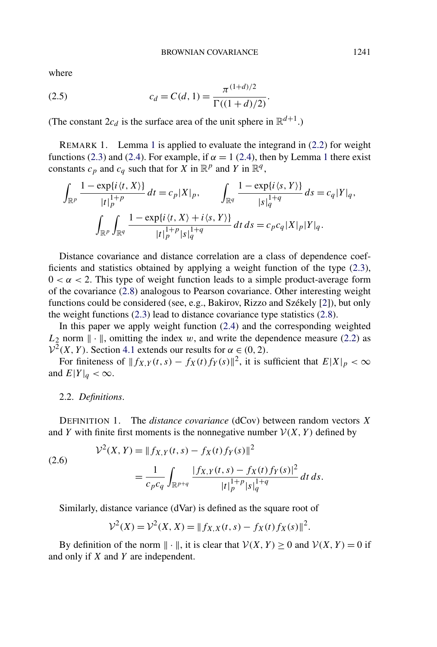<span id="page-5-0"></span>where

(2.5) 
$$
c_d = C(d, 1) = \frac{\pi^{(1+d)/2}}{\Gamma((1+d)/2)}.
$$

(The constant  $2c_d$  is the surface area of the unit sphere in  $\mathbb{R}^{d+1}$ .)

REMARK 1. Lemma [1](#page-4-0) is applied to evaluate the integrand in [\(2.2\)](#page-3-0) for weight functions [\(2.3\)](#page-4-0) and [\(2.4\)](#page-4-0). For example, if  $\alpha = 1$  $\alpha = 1$  (2.4), then by Lemma 1 there exist constants  $c_p$  and  $c_q$  such that for *X* in  $\mathbb{R}^p$  and *Y* in  $\mathbb{R}^q$ ,

$$
\int_{\mathbb{R}^p} \frac{1 - \exp\{i \langle t, X \rangle\}}{|t|_p^{1+p}} dt = c_p |X|_p, \qquad \int_{\mathbb{R}^q} \frac{1 - \exp\{i \langle s, Y \rangle\}}{|s|_q^{1+q}} ds = c_q |Y|_q,
$$
\n
$$
\int_{\mathbb{R}^p} \int_{\mathbb{R}^q} \frac{1 - \exp\{i \langle t, X \rangle + i \langle s, Y \rangle\}}{|t|_p^{1+p} |s|_q^{1+q}} dt ds = c_p c_q |X|_p |Y|_q.
$$

Distance covariance and distance correlation are a class of dependence coefficients and statistics obtained by applying a weight function of the type [\(2.3\)](#page-4-0),  $0 < \alpha < 2$ . This type of weight function leads to a simple product-average form of the covariance [\(2.8\)](#page-6-0) analogous to Pearson covariance. Other interesting weight functions could be considered (see, e.g., Bakirov, Rizzo and Székely [\[2\]](#page-28-0)), but only the weight functions [\(2.3\)](#page-4-0) lead to distance covariance type statistics [\(2.8\)](#page-6-0).

In this paper we apply weight function [\(2.4\)](#page-4-0) and the corresponding weighted  $L_2$  norm  $\|\cdot\|$ , omitting the index *w*, and write the dependence measure [\(2.2\)](#page-3-0) as  $V^2(X, Y)$ . Section [4.1](#page-15-0) extends our results for  $\alpha \in (0, 2)$ .

For finiteness of  $|| f_{X,Y}(t,s) - f_X(t) f_Y(s) ||^2$ , it is sufficient that  $E|X|_p < \infty$ and  $E|Y|_q < \infty$ .

#### 2.2. *Definitions*.

DEFINITION 1. The *distance covariance* (dCov) between random vectors *X* and *Y* with finite first moments is the nonnegative number  $V(X, Y)$  defined by

(2.6) 
$$
\mathcal{V}^{2}(X, Y) = ||f_{X,Y}(t, s) - f_{X}(t)f_{Y}(s)||^{2}
$$

$$
= \frac{1}{c_{p}c_{q}} \int_{\mathbb{R}^{p+q}} \frac{|f_{X,Y}(t, s) - f_{X}(t)f_{Y}(s)|^{2}}{|t|_{p}^{1+p}|s|_{q}^{1+q}} dt ds.
$$

Similarly, distance variance (dVar) is defined as the square root of

$$
\mathcal{V}^2(X) = \mathcal{V}^2(X, X) = || f_{X,X}(t, s) - f_X(t) f_X(s) ||^2.
$$

By definition of the norm  $\|\cdot\|$ , it is clear that  $V(X, Y) \ge 0$  and  $V(X, Y) = 0$  if and only if *X* and *Y* are independent.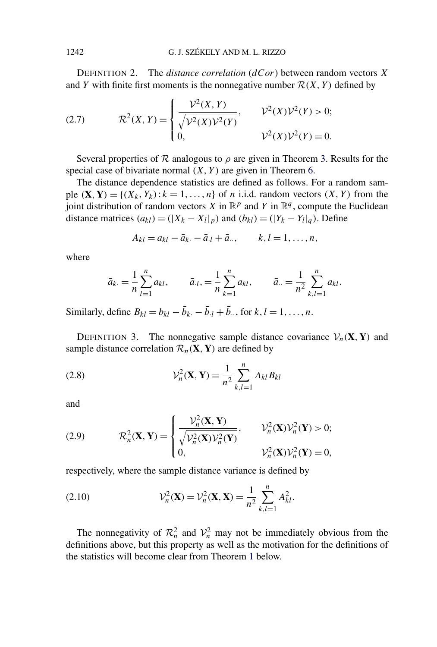<span id="page-6-0"></span>DEFINITION 2. The *distance correlation* (*dCor*) between random vectors *X* and *Y* with finite first moments is the nonnegative number  $\mathcal{R}(X, Y)$  defined by

(2.7) 
$$
\mathcal{R}^{2}(X, Y) = \begin{cases} \frac{\mathcal{V}^{2}(X, Y)}{\sqrt{\mathcal{V}^{2}(X)\mathcal{V}^{2}(Y)}}, & \mathcal{V}^{2}(X)\mathcal{V}^{2}(Y) > 0; \\ 0, & \mathcal{V}^{2}(X)\mathcal{V}^{2}(Y) = 0. \end{cases}
$$

Several properties of  $R$  analogous to  $\rho$  are given in Theorem [3.](#page-8-0) Results for the special case of bivariate normal *(X, Y )* are given in Theorem [6.](#page-11-0)

The distance dependence statistics are defined as follows. For a random sample  $(X, Y) = \{(X_k, Y_k): k = 1, \ldots, n\}$  of *n* i.i.d. random vectors  $(X, Y)$  from the joint distribution of random vectors *X* in  $\mathbb{R}^p$  and *Y* in  $\mathbb{R}^q$ , compute the Euclidean distance matrices  $(a_{kl}) = (|X_k - X_l|_p)$  and  $(b_{kl}) = (|Y_k - Y_l|_q)$ . Define

$$
A_{kl} = a_{kl} - \bar{a}_{k} - \bar{a}_{l} + \bar{a}_{l}, \qquad k, l = 1, \ldots, n,
$$

where

$$
\bar{a}_{k.} = \frac{1}{n} \sum_{l=1}^{n} a_{kl}, \qquad \bar{a}_{.l.} = \frac{1}{n} \sum_{k=1}^{n} a_{kl}, \qquad \bar{a}_{..} = \frac{1}{n^2} \sum_{k,l=1}^{n} a_{kl}.
$$

Similarly, define  $B_{kl} = b_{kl} - \bar{b}_k - \bar{b}_l + \bar{b}_r$ , for  $k, l = 1, ..., n$ .

DEFINITION 3. The nonnegative sample distance covariance  $V_n(\mathbf{X}, \mathbf{Y})$  and sample distance correlation  $\mathcal{R}_n(\mathbf{X}, \mathbf{Y})$  are defined by

(2.8) 
$$
\mathcal{V}_n^2(\mathbf{X}, \mathbf{Y}) = \frac{1}{n^2} \sum_{k,l=1}^n A_{kl} B_{kl}
$$

and

(2.9) 
$$
\mathcal{R}_n^2(\mathbf{X}, \mathbf{Y}) = \begin{cases} \frac{\mathcal{V}_n^2(\mathbf{X}, \mathbf{Y})}{\sqrt{\mathcal{V}_n^2(\mathbf{X}) \mathcal{V}_n^2(\mathbf{Y})}}, & \mathcal{V}_n^2(\mathbf{X}) \mathcal{V}_n^2(\mathbf{Y}) > 0; \\ 0, & \mathcal{V}_n^2(\mathbf{X}) \mathcal{V}_n^2(\mathbf{Y}) = 0, \end{cases}
$$

respectively, where the sample distance variance is defined by

(2.10) 
$$
\mathcal{V}_n^2(\mathbf{X}) = \mathcal{V}_n^2(\mathbf{X}, \mathbf{X}) = \frac{1}{n^2} \sum_{k,l=1}^n A_{kl}^2.
$$

The nonnegativity of  $\mathcal{R}_n^2$  and  $\mathcal{V}_n^2$  may not be immediately obvious from the definitions above, but this property as well as the motivation for the definitions of the statistics will become clear from Theorem [1](#page-7-0) below.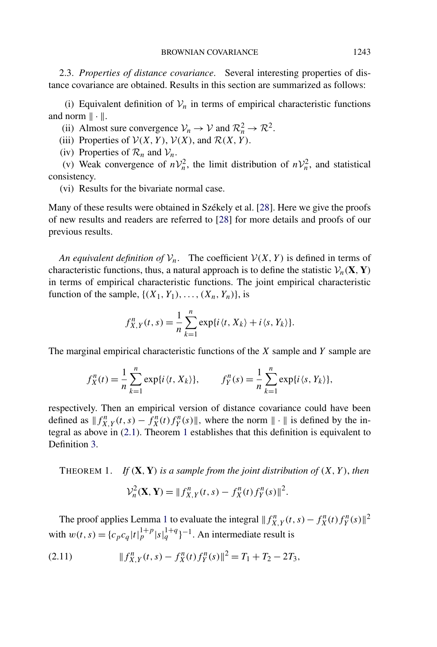<span id="page-7-0"></span>2.3. *Properties of distance covariance*. Several interesting properties of distance covariance are obtained. Results in this section are summarized as follows:

(i) Equivalent definition of  $V_n$  in terms of empirical characteristic functions and norm  $\|\cdot\|$ .

(ii) Almost sure convergence  $V_n \to V$  and  $\mathcal{R}_n^2 \to \mathcal{R}^2$ .

(iii) Properties of  $V(X, Y)$ ,  $V(X)$ , and  $R(X, Y)$ .

(iv) Properties of  $\mathcal{R}_n$  and  $\mathcal{V}_n$ .

(v) Weak convergence of  $nV_n^2$ , the limit distribution of  $nV_n^2$ , and statistical consistency.

(vi) Results for the bivariate normal case.

Many of these results were obtained in Székely et al. [\[28\]](#page-29-0). Here we give the proofs of new results and readers are referred to [\[28\]](#page-29-0) for more details and proofs of our previous results.

*An equivalent definition of*  $V_n$ . The coefficient  $V(X, Y)$  is defined in terms of characteristic functions, thus, a natural approach is to define the statistic  $V_n(\mathbf{X}, \mathbf{Y})$ in terms of empirical characteristic functions. The joint empirical characteristic function of the sample,  $\{(X_1, Y_1), \ldots, (X_n, Y_n)\}\)$ , is

$$
f_{X,Y}^n(t,s) = \frac{1}{n} \sum_{k=1}^n \exp\{i \langle t, X_k \rangle + i \langle s, Y_k \rangle\}.
$$

The marginal empirical characteristic functions of the *X* sample and *Y* sample are

$$
f_X^n(t) = \frac{1}{n} \sum_{k=1}^n \exp\{i \, \langle t, X_k \rangle\}, \qquad f_Y^n(s) = \frac{1}{n} \sum_{k=1}^n \exp\{i \, \langle s, Y_k \rangle\},
$$

respectively. Then an empirical version of distance covariance could have been defined as  $|| f_{X,Y}^n(t,s) - f_X^n(t) f_Y^n(s) ||$ , where the norm  $|| \cdot ||$  is defined by the integral as above in [\(2.1\)](#page-3-0). Theorem 1 establishes that this definition is equivalent to Definition [3.](#page-6-0)

THEOREM 1. *If*  $(X, Y)$  *is a sample from the joint distribution of*  $(X, Y)$ *, then*  $\mathcal{V}_n^2(\mathbf{X}, \mathbf{Y}) = ||f_{X,Y}^n(t, s) - f_X^n(t) f_Y^n(s)||^2.$ 

The proof applies Lemma [1](#page-4-0) to evaluate the integral  $|| f_{X,Y}^n(t,s) - f_X^n(t) f_Y^n(s) ||^2$ with  $w(t, s) = {c_p c_q |t|_p^{1+p} |s|_q^{1+q}}^{-1}$ . An intermediate result is

$$
(2.11) \t\t\t\t||f_{X,Y}^n(t,s) - f_X^n(t)f_Y^n(s)||^2 = T_1 + T_2 - 2T_3,
$$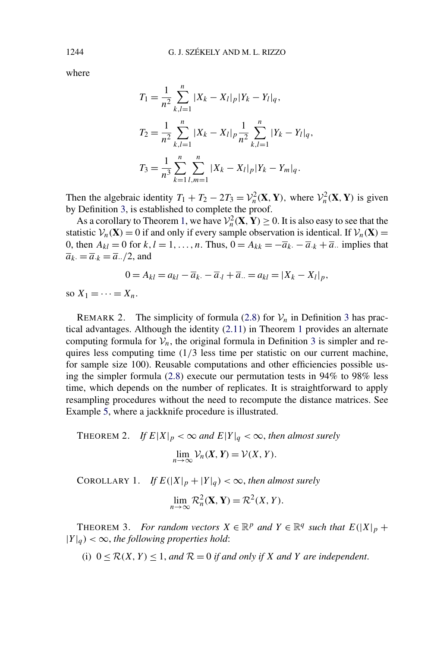where

$$
T_1 = \frac{1}{n^2} \sum_{k,l=1}^n |X_k - X_l|_p |Y_k - Y_l|_q,
$$
  
\n
$$
T_2 = \frac{1}{n^2} \sum_{k,l=1}^n |X_k - X_l|_p \frac{1}{n^2} \sum_{k,l=1}^n |Y_k - Y_l|_q,
$$
  
\n
$$
T_3 = \frac{1}{n^3} \sum_{k=1}^n \sum_{l,m=1}^n |X_k - X_l|_p |Y_k - Y_m|_q.
$$

Then the algebraic identity  $T_1 + T_2 - 2T_3 = V_n^2(\mathbf{X}, \mathbf{Y})$ , where  $V_n^2(\mathbf{X}, \mathbf{Y})$  is given by Definition [3,](#page-6-0) is established to complete the proof.

As a corollary to Theorem [1,](#page-7-0) we have  $\mathcal{V}_n^2(\mathbf{X}, \mathbf{Y}) \ge 0$ . It is also easy to see that the statistic  $V_n(\mathbf{X}) = 0$  if and only if every sample observation is identical. If  $V_n(\mathbf{X}) =$ 0, then  $A_{kl} = 0$  for  $k, l = 1, \ldots, n$ . Thus,  $0 = A_{kk} = -\overline{a}_k - \overline{a}_k + \overline{a}_k$  implies that  $\overline{a}_k = \overline{a}_{k} = \overline{a}_{k}$  /2, and

 $0 = A_{kl} = a_{kl} - \overline{a}_{k} - \overline{a}_{l} + \overline{a}_{l} = a_{kl} = |X_k - X_l|_p,$ 

so  $X_1 = \cdots = X_n$ .

REMARK 2. The simplicity of formula [\(2.8\)](#page-6-0) for  $V_n$  in Definition [3](#page-6-0) has practical advantages. Although the identity [\(2.11\)](#page-7-0) in Theorem [1](#page-7-0) provides an alternate computing formula for  $V_n$ , the original formula in Definition [3](#page-6-0) is simpler and requires less computing time (1*/*3 less time per statistic on our current machine, for sample size 100). Reusable computations and other efficiencies possible using the simpler formula [\(2.8\)](#page-6-0) execute our permutation tests in 94% to 98% less time, which depends on the number of replicates. It is straightforward to apply resampling procedures without the need to recompute the distance matrices. See Example [5,](#page-21-0) where a jackknife procedure is illustrated.

THEOREM 2. *If*  $E|X|_p < \infty$  and  $E|Y|_q < \infty$ , then almost surely

$$
\lim_{n\to\infty}\mathcal{V}_n(X,Y)=\mathcal{V}(X,Y).
$$

COROLLARY 1. *If*  $E(|X|_p + |Y|_q) < \infty$ , *then almost surely* 

$$
\lim_{n \to \infty} \mathcal{R}_n^2(\mathbf{X}, \mathbf{Y}) = \mathcal{R}^2(X, Y).
$$

THEOREM 3. *For random vectors*  $X \in \mathbb{R}^p$  *and*  $Y \in \mathbb{R}^q$  *such that*  $E(|X|_p +$  $|Y|_q$   $< \infty$ , the following properties hold:

(i)  $0 \le R(X, Y) \le 1$ , and  $R = 0$  *if and only if* X and Y are independent.

<span id="page-8-0"></span>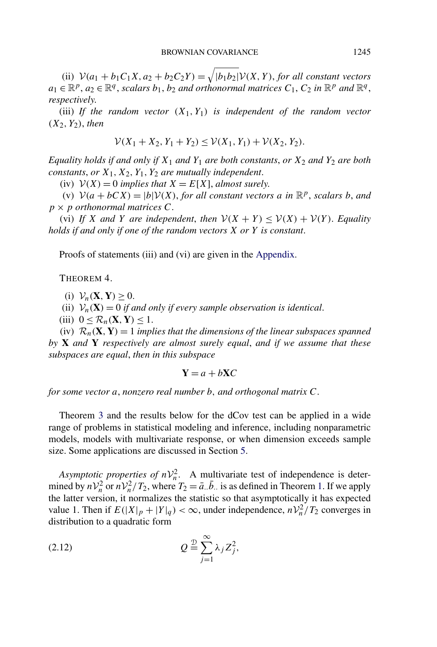<span id="page-9-0"></span>(ii)  $V(a_1 + b_1C_1X, a_2 + b_2C_2Y) = \sqrt{|b_1b_2|}V(X, Y)$ , *for all constant vectors*  $a_1 \in \mathbb{R}^p$ ,  $a_2 \in \mathbb{R}^q$ , *scalars*  $b_1$ ,  $b_2$  *and orthonormal matrices*  $C_1$ ,  $C_2$  *in*  $\mathbb{R}^p$  *and*  $\mathbb{R}^q$ , *respectively*.

(iii) If the random vector  $(X_1, Y_1)$  is independent of the random vector *(X*2*, Y*2*)*, *then*

$$
\mathcal{V}(X_1 + X_2, Y_1 + Y_2) \le \mathcal{V}(X_1, Y_1) + \mathcal{V}(X_2, Y_2).
$$

*Equality holds if and only if X*<sup>1</sup> *and Y*<sup>1</sup> *are both constants*, *or X*<sup>2</sup> *and Y*<sup>2</sup> *are both constants*, *or X*1*, X*2*, Y*1*, Y*<sup>2</sup> *are mutually independent*.

(iv)  $V(X) = 0$  *implies that*  $X = E[X]$ *, almost surely.* 

(v)  $V(a + bCX) = |b|V(X)$ , *for all constant vectors a in*  $\mathbb{R}^p$ , *scalars b, and*  $p \times p$  *orthonormal matrices*  $C$ .

(vi) *If X* and *Y* are independent, then  $V(X + Y) \leq V(X) + V(Y)$ . Equality *holds if and only if one of the random vectors X or Y is constant*.

Proofs of statements (iii) and (vi) are given in the [Appendix.](#page-25-0)

THEOREM 4.

(i)  $V_n$ (**X***,***Y**) > 0.

(ii)  $V_n(\mathbf{X}) = 0$  *if and only if every sample observation is identical.* 

(iii)  $0 \leq \mathcal{R}_n(\mathbf{X}, \mathbf{Y}) \leq 1$ .

(iv)  $\mathcal{R}_n(\mathbf{X}, \mathbf{Y}) = 1$  *implies that the dimensions of the linear subspaces spanned by* **X** *and* **Y** *respectively are almost surely equal*, *and if we assume that these subspaces are equal*, *then in this subspace*

$$
Y = a + bXC
$$

*for some vector a*, *nonzero real number b, and orthogonal matrix C*.

Theorem [3](#page-8-0) and the results below for the dCov test can be applied in a wide range of problems in statistical modeling and inference, including nonparametric models, models with multivariate response, or when dimension exceeds sample size. Some applications are discussed in Section [5.](#page-17-0)

*Asymptotic properties of*  $nV_n^2$ *.* A multivariate test of independence is determined by  $nV_n^2$  or  $nV_n^2/T_2$ , where  $T_2 = \bar{a} \cdot \bar{b} \cdot \bar{b}$  is as defined in Theorem [1.](#page-7-0) If we apply the latter version, it normalizes the statistic so that asymptotically it has expected value 1. Then if  $E(|X|_p + |Y|_q) < \infty$ , under independence,  $n\mathcal{V}_n^2/T_2$  converges in distribution to a quadratic form

$$
Q \stackrel{\mathcal{D}}{=} \sum_{j=1}^{\infty} \lambda_j Z_j^2,
$$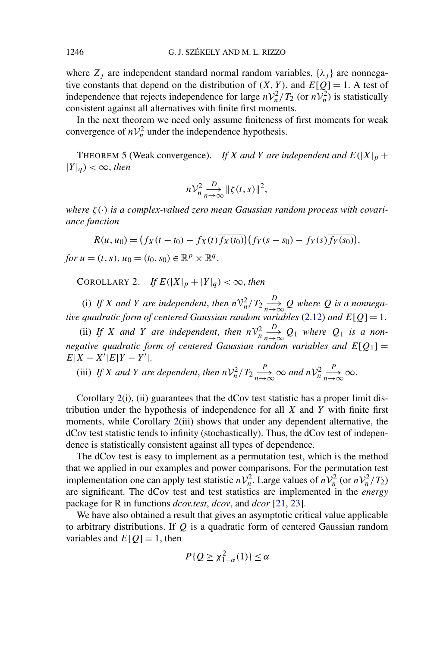where  $Z_i$  are independent standard normal random variables,  $\{\lambda_i\}$  are nonnegative constants that depend on the distribution of  $(X, Y)$ , and  $E[Q] = 1$ . A test of independence that rejects independence for large  $nV_n^2/T_2$  (or  $nV_n^2$ ) is statistically consistent against all alternatives with finite first moments.

In the next theorem we need only assume finiteness of first moments for weak convergence of  $nV_n^2$  under the independence hypothesis.

THEOREM 5 (Weak convergence). *If X* and *Y* are independent and  $E(|X|_p +$  $|Y|_q$   $< \infty$ , *then* 

$$
n\mathcal{V}_n^2 \xrightarrow[n \to \infty]{D} \|\zeta(t,s)\|^2,
$$

*where ζ (*·*) is a complex-valued zero mean Gaussian random process with covariance function*

$$
R(u, u_0) = (f_X(t - t_0) - f_X(t) \overline{f_X(t_0)})(f_Y(s - s_0) - f_Y(s) \overline{f_Y(s_0)}),
$$

*for*  $u = (t, s), u_0 = (t_0, s_0) \in \mathbb{R}^p \times \mathbb{R}^q$ .

COROLLARY 2. *If*  $E(|X|_p + |Y|_q) < \infty$ , then

(i) If *X* and *Y* are independent, then  $n\mathcal{V}_n^2/T_2 \frac{D}{n\rightarrow 1}$  $\frac{D}{n \to \infty} Q$  where Q is a nonnega*tive quadratic form of centered Gaussian random variables* [\(2.12\)](#page-9-0) *and*  $E[Q] = 1$ .

(ii) If X and Y are independent, then  $n\mathcal{V}_n^2$ *D*  $\frac{D}{n \to \infty} Q_1$  where  $Q_1$  *is a nonnegative quadratic form of centered Gaussian random variables and*  $E[Q_1] =$  $E|X - X|E|Y - Y'|.$ 

(iii) If *X* and *Y* are dependent, then  $nV_n^2/T_2 \frac{P}{n\rightarrow 1}$  $\frac{P}{n \to \infty}$   $\infty$  and  $n \mathcal{V}_n^2$ *P*  $\frac{r}{n\rightarrow\infty}\infty$ .

Corollary 2(i), (ii) guarantees that the dCov test statistic has a proper limit distribution under the hypothesis of independence for all *X* and *Y* with finite first moments, while Corollary 2(iii) shows that under any dependent alternative, the dCov test statistic tends to infinity (stochastically). Thus, the dCov test of independence is statistically consistent against all types of dependence.

The dCov test is easy to implement as a permutation test, which is the method that we applied in our examples and power comparisons. For the permutation test implementation one can apply test statistic  $nV_n^2$ . Large values of  $nV_n^2$  (or  $nV_n^2/T_2$ ) are significant. The dCov test and test statistics are implemented in the *energy* package for R in functions *dcov.test*, *dcov*, and *dcor* [\[21, 23\]](#page-29-0).

We have also obtained a result that gives an asymptotic critical value applicable to arbitrary distributions. If *Q* is a quadratic form of centered Gaussian random variables and  $E[Q] = 1$ , then

$$
P\{Q \geq \chi^2_{1-\alpha}(1)\} \leq \alpha
$$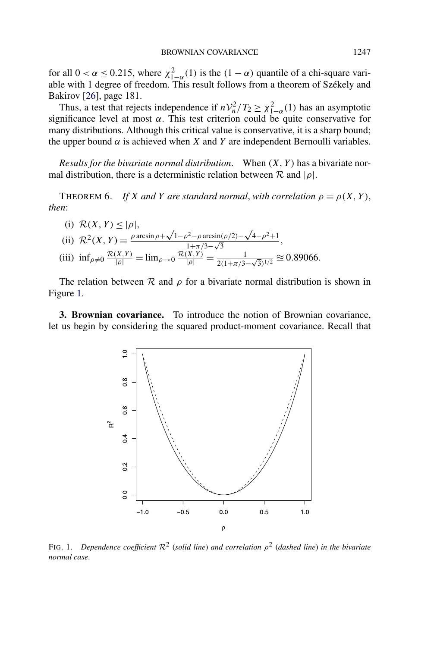<span id="page-11-0"></span>for all  $0 < \alpha \leq 0.215$ , where  $\chi^2_{1-\alpha}(1)$  is the  $(1-\alpha)$  quantile of a chi-square variable with 1 degree of freedom. This result follows from a theorem of Székely and Bakirov [\[26\]](#page-29-0), page 181.

Thus, a test that rejects independence if  $nV_n^2/T_2 \geq \chi_{1-\alpha}^2(1)$  has an asymptotic significance level at most  $\alpha$ . This test criterion could be quite conservative for many distributions. Although this critical value is conservative, it is a sharp bound; the upper bound  $\alpha$  is achieved when *X* and *Y* are independent Bernoulli variables.

*Results for the bivariate normal distribution*. When *(X, Y )* has a bivariate normal distribution, there is a deterministic relation between  $\mathcal R$  and  $|\rho|$ .

THEOREM 6. *If X* and *Y* are standard normal, with correlation  $\rho = \rho(X, Y)$ , *then*:

(i) 
$$
\mathcal{R}(X, Y) \le |\rho|
$$
,  
\n(ii)  $\mathcal{R}^2(X, Y) = \frac{\rho \arcsin \rho + \sqrt{1 - \rho^2} - \rho \arcsin(\rho/2) - \sqrt{4 - \rho^2} + 1}{1 + \pi/3 - \sqrt{3}}$ ,  
\n(iii)  $\inf_{\rho \neq 0} \frac{\mathcal{R}(X, Y)}{|\rho|} = \lim_{\rho \to 0} \frac{\mathcal{R}(X, Y)}{|\rho|} = \frac{1}{2(1 + \pi/3 - \sqrt{3})^{1/2}} \approx 0.89066$ .

The relation between  $\mathcal R$  and  $\rho$  for a bivariate normal distribution is shown in Figure 1.

**3. Brownian covariance.** To introduce the notion of Brownian covariance, let us begin by considering the squared product-moment covariance. Recall that



FIG. 1. *Dependence coefficient* <sup>R</sup><sup>2</sup> (*solid line*) *and correlation <sup>ρ</sup>*<sup>2</sup> (*dashed line*) *in the bivariate normal case*.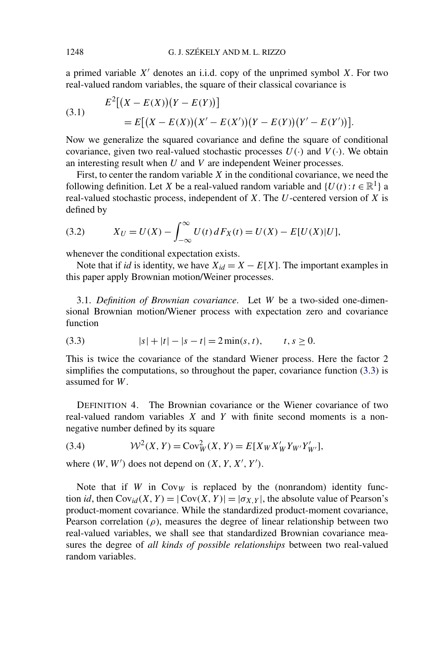<span id="page-12-0"></span>a primed variable  $X'$  denotes an i.i.d. copy of the unprimed symbol  $X$ . For two real-valued random variables, the square of their classical covariance is

(3.1) 
$$
E^{2}[(X - E(X))(Y - E(Y))]
$$

$$
= E[(X - E(X))(X' - E(X'))(Y - E(Y))(Y' - E(Y'))].
$$

Now we generalize the squared covariance and define the square of conditional covariance, given two real-valued stochastic processes  $U(\cdot)$  and  $V(\cdot)$ . We obtain an interesting result when *U* and *V* are independent Weiner processes.

First, to center the random variable *X* in the conditional covariance, we need the following definition. Let *X* be a real-valued random variable and  $\{U(t): t \in \mathbb{R}^1\}$  a real-valued stochastic process, independent of *X*. The *U*-centered version of *X* is defined by

(3.2) 
$$
X_U = U(X) - \int_{-\infty}^{\infty} U(t) dF_X(t) = U(X) - E[U(X)|U],
$$

whenever the conditional expectation exists.

Note that if *id* is identity, we have  $X_{id} = X - E[X]$ . The important examples in this paper apply Brownian motion/Weiner processes.

3.1. *Definition of Brownian covariance*. Let *W* be a two-sided one-dimensional Brownian motion/Wiener process with expectation zero and covariance function

$$
(3.3) \t\t |s| + |t| - |s - t| = 2\min(s, t), \t t, s \ge 0.
$$

This is twice the covariance of the standard Wiener process. Here the factor 2 simplifies the computations, so throughout the paper, covariance function (3.3) is assumed for *W*.

DEFINITION 4. The Brownian covariance or the Wiener covariance of two real-valued random variables *X* and *Y* with finite second moments is a nonnegative number defined by its square

(3.4) 
$$
W^{2}(X, Y) = \text{Cov}_{W}^{2}(X, Y) = E[X_{W}X'_{W}Y_{W'}Y'_{W'}],
$$

where  $(W, W')$  does not depend on  $(X, Y, X', Y')$ .

Note that if *W* in  $Cov_W$  is replaced by the (nonrandom) identity function *id*, then  $Cov_{id}(X, Y) = |Cov(X, Y)| = |\sigma_{X,Y}|$ , the absolute value of Pearson's product-moment covariance. While the standardized product-moment covariance, Pearson correlation ( $\rho$ ), measures the degree of linear relationship between two real-valued variables, we shall see that standardized Brownian covariance measures the degree of *all kinds of possible relationships* between two real-valued random variables.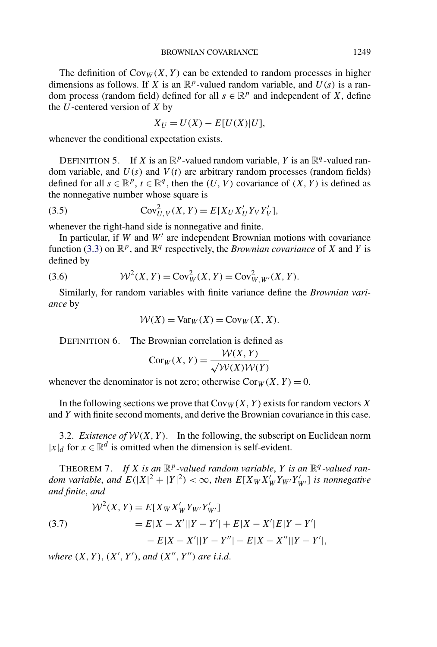<span id="page-13-0"></span>The definition of  $Cov_W(X, Y)$  can be extended to random processes in higher dimensions as follows. If *X* is an  $\mathbb{R}^p$ -valued random variable, and  $U(s)$  is a random process (random field) defined for all  $s \in \mathbb{R}^p$  and independent of *X*, define the *U*-centered version of *X* by

$$
X_U = U(X) - E[U(X)|U],
$$

whenever the conditional expectation exists.

DEFINITION 5. If *X* is an  $\mathbb{R}^p$ -valued random variable, *Y* is an  $\mathbb{R}^q$ -valued random variable, and  $U(s)$  and  $V(t)$  are arbitrary random processes (random fields) defined for all  $s \in \mathbb{R}^p$ ,  $t \in \mathbb{R}^q$ , then the *(U, V)* covariance of *(X, Y)* is defined as the nonnegative number whose square is

(3.5) 
$$
Cov_{U,V}^{2}(X,Y) = E[X_{U}X'_{U}Y_{V}Y'_{V}],
$$

whenever the right-hand side is nonnegative and finite.

In particular, if  $W$  and  $W'$  are independent Brownian motions with covariance function [\(3.3\)](#page-12-0) on  $\mathbb{R}^p$ , and  $\mathbb{R}^q$  respectively, the *Brownian covariance* of *X* and *Y* is defined by

(3.6) 
$$
\mathcal{W}^2(X, Y) = \text{Cov}_W^2(X, Y) = \text{Cov}_{W, W'}^2(X, Y).
$$

Similarly, for random variables with finite variance define the *Brownian variance* by

$$
W(X) = \text{Var}_W(X) = \text{Cov}_W(X, X).
$$

DEFINITION 6. The Brownian correlation is defined as

$$
Cor_W(X, Y) = \frac{W(X, Y)}{\sqrt{W(X)W(Y)}}
$$

whenever the denominator is not zero; otherwise  $Cor<sub>W</sub>(X, Y) = 0$ .

In the following sections we prove that  $Cov_W(X, Y)$  exists for random vectors X and *Y* with finite second moments, and derive the Brownian covariance in this case.

3.2. *Existence of*  $W(X, Y)$ . In the following, the subscript on Euclidean norm  $|x|_d$  for  $x \in \mathbb{R}^d$  is omitted when the dimension is self-evident.

THEOREM 7. If *X* is an  $\mathbb{R}^p$ -valued random variable, *Y* is an  $\mathbb{R}^q$ -valued ran*dom variable, and*  $E(|X|^2 + |Y|^2) < \infty$ , then  $E[X_W X'_W Y_{W'} Y'_{W'}]$  is nonnegative *and finite*, *and*

(3.7) 
$$
W^{2}(X, Y) = E[X_{W}X'_{W}Y_{W'}Y'_{W'}]
$$

$$
= E|X - X'||Y - Y'| + E|X - X'|E|Y - Y'| - E|X - X''||Y - Y'| - E|X - X''||Y - Y'|,
$$

*where*  $(X, Y)$ ,  $(X', Y')$ , *and*  $(X'', Y'')$  *are i.i.d.*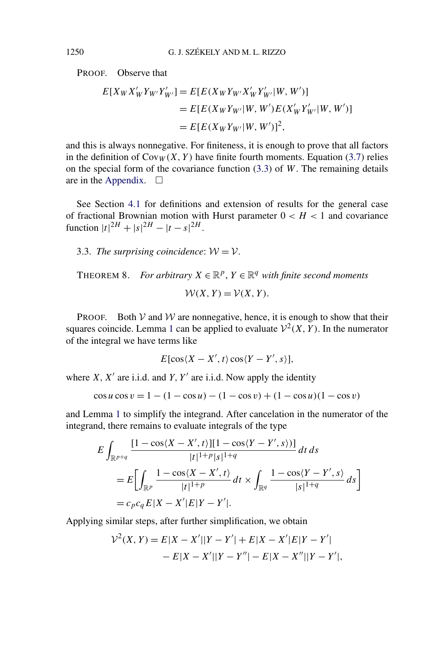<span id="page-14-0"></span>PROOF. Observe that

$$
E[X_{W}X'_{W}Y_{W'}Y'_{W'}] = E[E(X_{W}Y_{W'}X'_{W}Y'_{W'}|W, W')]
$$
  
=  $E[E(X_{W}Y_{W'}|W, W')E(X'_{W}Y'_{W'}|W, W')]$   
=  $E[E(X_{W}Y_{W'}|W, W')]^{2}$ ,

and this is always nonnegative. For finiteness, it is enough to prove that all factors in the definition of  $Cov_W(X, Y)$  have finite fourth moments. Equation [\(3.7\)](#page-13-0) relies on the special form of the covariance function [\(3.3\)](#page-12-0) of *W*. The remaining details are in the [Appendix.](#page-25-0)  $\Box$ 

See Section [4.1](#page-15-0) for definitions and extension of results for the general case of fractional Brownian motion with Hurst parameter  $0 < H < 1$  and covariance function  $|t|^{2H} + |s|^{2H} - |t-s|^{2H}$ .

3.3. *The surprising coincidence:*  $W = V$ .

THEOREM 8. *For arbitrary*  $X \in \mathbb{R}^p$ ,  $Y \in \mathbb{R}^q$  *with finite second moments* 

$$
W(X, Y) = V(X, Y).
$$

**PROOF.** Both  $V$  and  $W$  are nonnegative, hence, it is enough to show that their squares coincide. Lemma [1](#page-4-0) can be applied to evaluate  $\mathcal{V}^2(X, Y)$ . In the numerator of the integral we have terms like

$$
E[\cos\langle X - X', t\rangle \cos\langle Y - Y', s\rangle],
$$

where  $X, X'$  are i.i.d. and  $Y, Y'$  are i.i.d. Now apply the identity

$$
\cos u \cos v = 1 - (1 - \cos u) - (1 - \cos v) + (1 - \cos u)(1 - \cos v)
$$

and Lemma [1](#page-4-0) to simplify the integrand. After cancelation in the numerator of the integrand, there remains to evaluate integrals of the type

$$
E \int_{\mathbb{R}^{p+q}} \frac{[1 - \cos\langle X - X', t \rangle][1 - \cos\langle Y - Y', s \rangle)]}{|t|^{1+p}|s|^{1+q}} dt ds
$$
  
= 
$$
E \Biggl[ \int_{\mathbb{R}^p} \frac{1 - \cos\langle X - X', t \rangle}{|t|^{1+p}} dt \times \int_{\mathbb{R}^q} \frac{1 - \cos\langle Y - Y', s \rangle}{|s|^{1+q}} ds \Biggr]
$$
  
= 
$$
c_p c_q E|X - X'|E|Y - Y'|.
$$

Applying similar steps, after further simplification, we obtain

$$
\mathcal{V}^{2}(X, Y) = E|X - X'||Y - Y'| + E|X - X'|E|Y - Y'| - E|X - X'||Y - Y''| - E|X - X''||Y - Y'|,
$$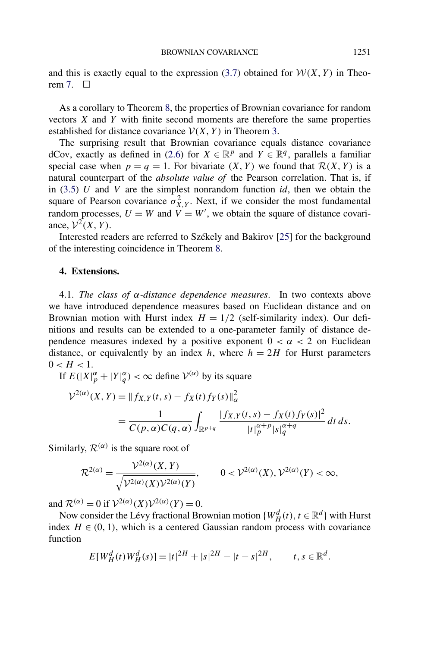<span id="page-15-0"></span>and this is exactly equal to the expression  $(3.7)$  obtained for  $W(X, Y)$  in Theorem  $7 \square$ 

As a corollary to Theorem [8,](#page-14-0) the properties of Brownian covariance for random vectors *X* and *Y* with finite second moments are therefore the same properties established for distance covariance  $V(X, Y)$  in Theorem [3.](#page-8-0)

The surprising result that Brownian covariance equals distance covariance dCov, exactly as defined in [\(2.6\)](#page-5-0) for  $X \in \mathbb{R}^p$  and  $Y \in \mathbb{R}^q$ , parallels a familiar special case when  $p = q = 1$ . For bivariate  $(X, Y)$  we found that  $\mathcal{R}(X, Y)$  is a natural counterpart of the *absolute value of* the Pearson correlation. That is, if in [\(3.5\)](#page-13-0) *U* and *V* are the simplest nonrandom function *id*, then we obtain the square of Pearson covariance  $\sigma_{X,Y}^2$ . Next, if we consider the most fundamental random processes,  $U = W$  and  $V = W'$ , we obtain the square of distance covariance,  $\mathcal{V}^2(X, Y)$ .

Interested readers are referred to Székely and Bakirov [\[25\]](#page-29-0) for the background of the interesting coincidence in Theorem [8.](#page-14-0)

#### **4. Extensions.**

4.1. *The class of α-distance dependence measures*. In two contexts above we have introduced dependence measures based on Euclidean distance and on Brownian motion with Hurst index  $H = 1/2$  (self-similarity index). Our definitions and results can be extended to a one-parameter family of distance dependence measures indexed by a positive exponent  $0 < \alpha < 2$  on Euclidean distance, or equivalently by an index  $h$ , where  $h = 2H$  for Hurst parameters  $0 < H < 1$ .

If  $E(|X|_p^{\alpha} + |Y|_q^{\alpha}) < \infty$  define  $V^{(\alpha)}$  by its square

$$
\mathcal{V}^{2(\alpha)}(X,Y) = \|f_{X,Y}(t,s) - f_X(t)f_Y(s)\|_{\alpha}^2
$$
  
= 
$$
\frac{1}{C(p,\alpha)C(q,\alpha)} \int_{\mathbb{R}^{p+q}} \frac{|f_{X,Y}(t,s) - f_X(t)f_Y(s)|^2}{|t|_p^{\alpha+p}|s|_q^{\alpha+q}} dt ds.
$$

Similarly,  $\mathcal{R}^{(\alpha)}$  is the square root of

$$
\mathcal{R}^{2(\alpha)} = \frac{\mathcal{V}^{2(\alpha)}(X, Y)}{\sqrt{\mathcal{V}^{2(\alpha)}(X)\mathcal{V}^{2(\alpha)}(Y)}}, \qquad 0 < \mathcal{V}^{2(\alpha)}(X), \mathcal{V}^{2(\alpha)}(Y) < \infty,
$$

and  $\mathcal{R}^{(\alpha)} = 0$  if  $\mathcal{V}^{2(\alpha)}(X)\mathcal{V}^{2(\alpha)}(Y) = 0$ .

Now consider the Lévy fractional Brownian motion  $\{W_H^d(t), t \in \mathbb{R}^d\}$  with Hurst index  $H \in (0, 1)$ , which is a centered Gaussian random process with covariance function

$$
E[W_H^d(t)W_H^d(s)] = |t|^{2H} + |s|^{2H} - |t - s|^{2H}, \qquad t, s \in \mathbb{R}^d.
$$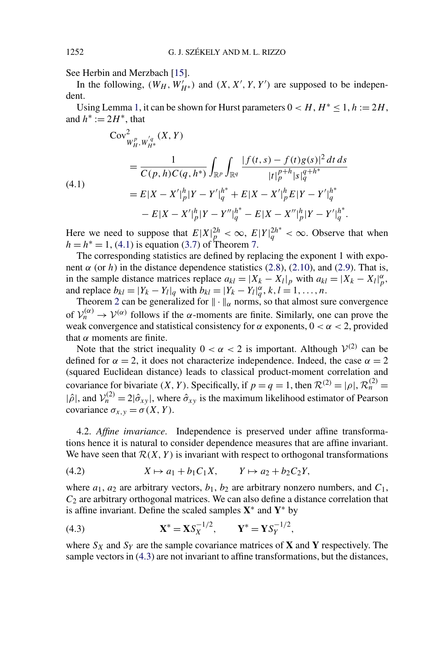See Herbin and Merzbach [\[15\]](#page-28-0).

In the following,  $(W_H, W'_{H*})$  and  $(X, X', Y, Y')$  are supposed to be independent.

Using Lemma [1,](#page-4-0) it can be shown for Hurst parameters  $0 < H$ ,  $H^* < 1$ ,  $h := 2H$ , and  $h^* := 2H^*$ , that

(4.1)  
\n
$$
\begin{split}\n&\text{Cov}_{W_H^p, W_{H^*}^{/q}}^2(X, Y) \\
&= \frac{1}{C(p, h)C(q, h^*)} \int_{\mathbb{R}^p} \int_{\mathbb{R}^q} \frac{|f(t, s) - f(t)g(s)|^2 dt ds}{|t|_p^{p+h}|s|_q^{q+h^*}} \\
&= E|X - X'|_p^h |Y - Y'|_q^{h^*} + E|X - X'|_p^h E|Y - Y'|_q^{h^*} \\
&- E|X - X'|_p^h |Y - Y''|_q^{h^*} - E|X - X''|_p^h |Y - Y'|_q^{h^*}.\n\end{split}
$$

Here we need to suppose that  $E|X|_p^{2h} < \infty$ ,  $E|Y|_q^{2h^*} < \infty$ . Observe that when  $h = h^* = 1$ , (4.1) is equation [\(3.7\)](#page-13-0) of Theorem [7.](#page-13-0)

The corresponding statistics are defined by replacing the exponent 1 with exponent  $\alpha$  (or  $h$ ) in the distance dependence statistics [\(2.8\)](#page-6-0), [\(2.10\)](#page-6-0), and [\(2.9\)](#page-6-0). That is, in the sample distance matrices replace  $a_{kl} = |X_k - X_l|_p$  with  $a_{kl} = |X_k - X_l|_p^{\alpha}$ , and replace  $b_{kl} = |Y_k - Y_l|_q$  with  $\bar{b}_{kl} = |Y_k - Y_l|_q^{\alpha}, k, l = 1, ..., n$ .

Theorem [2](#page-8-0) can be generalized for  $\|\cdot\|_{\alpha}$  norms, so that almost sure convergence of  $\mathcal{V}_n^{(\alpha)} \to \mathcal{V}^{(\alpha)}$  follows if the *α*-moments are finite. Similarly, one can prove the weak convergence and statistical consistency for  $\alpha$  exponents,  $0 < \alpha < 2$ , provided that *α* moments are finite.

Note that the strict inequality  $0 < \alpha < 2$  is important. Although  $V^{(2)}$  can be defined for  $\alpha = 2$ , it does not characterize independence. Indeed, the case  $\alpha = 2$ (squared Euclidean distance) leads to classical product-moment correlation and covariance for bivariate *(X, Y)*. Specifically, if  $p = q = 1$ , then  $\mathcal{R}^{(2)} = |\rho|$ ,  $\mathcal{R}_n^{(2)} =$  $|\hat{\rho}|$ , and  $\mathcal{V}_n^{(2)} = 2|\hat{\sigma}_{xy}|$ , where  $\hat{\sigma}_{xy}$  is the maximum likelihood estimator of Pearson covariance  $\sigma_{x,y} = \sigma(X, Y)$ .

4.2. *Affine invariance*. Independence is preserved under affine transformations hence it is natural to consider dependence measures that are affine invariant. We have seen that  $\mathcal{R}(X, Y)$  is invariant with respect to orthogonal transformations

$$
(4.2) \tX \mapsto a_1 + b_1 C_1 X, \tY \mapsto a_2 + b_2 C_2 Y,
$$

where  $a_1$ ,  $a_2$  are arbitrary vectors,  $b_1$ ,  $b_2$  are arbitrary nonzero numbers, and  $C_1$ , *C*<sup>2</sup> are arbitrary orthogonal matrices. We can also define a distance correlation that is affine invariant. Define the scaled samples **X**<sup>∗</sup> and **Y**<sup>∗</sup> by

(4.3) 
$$
\mathbf{X}^* = \mathbf{X} S_X^{-1/2}, \qquad \mathbf{Y}^* = \mathbf{Y} S_Y^{-1/2},
$$

where  $S_X$  and  $S_Y$  are the sample covariance matrices of **X** and **Y** respectively. The sample vectors in (4.3) are not invariant to affine transformations, but the distances,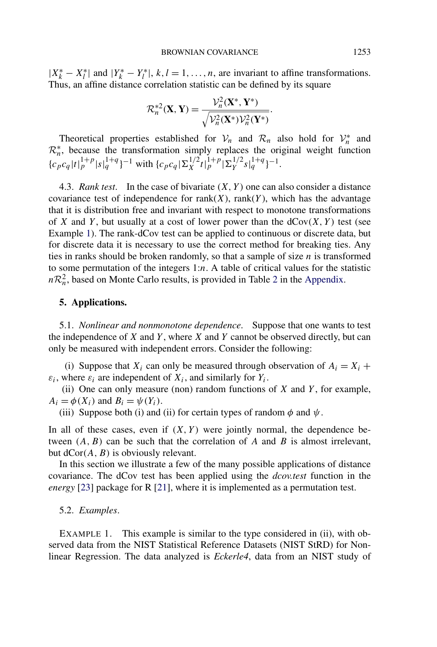<span id="page-17-0"></span> $|X_k^* - X_l^*|$  and  $|Y_k^* - Y_l^*|$ ,  $k, l = 1, ..., n$ , are invariant to affine transformations. Thus, an affine distance correlation statistic can be defined by its square

$$
\mathcal{R}_n^{*2}(\mathbf{X}, \mathbf{Y}) = \frac{\mathcal{V}_n^2(\mathbf{X}^*, \mathbf{Y}^*)}{\sqrt{\mathcal{V}_n^2(\mathbf{X}^*)\mathcal{V}_n^2(\mathbf{Y}^*)}}.
$$

Theoretical properties established for  $V_n$  and  $\mathcal{R}_n$  also hold for  $V_n^*$  and  $\mathcal{R}_n^*$ , because the transformation simply replaces the original weight function  $\{c_p c_q |t|_p^{1+p} |s|_q^{1+q}\}^{-1}$  with  $\{c_p c_q | \sum_X^{1/2} t|_p^{1+p} | \sum_Y^{1/2} s|_q^{1+q}\}^{-1}$ .

4.3. *Rank test*. In the case of bivariate *(X, Y )* one can also consider a distance covariance test of independence for  $rank(X)$ ,  $rank(Y)$ , which has the advantage that it is distribution free and invariant with respect to monotone transformations of *X* and *Y*, but usually at a cost of lower power than the  $dCov(X, Y)$  test (see Example 1). The rank-dCov test can be applied to continuous or discrete data, but for discrete data it is necessary to use the correct method for breaking ties. Any ties in ranks should be broken randomly, so that a sample of size *n* is transformed to some permutation of the integers 1:*n*. A table of critical values for the statistic  $nR_n^2$  $nR_n^2$ , based on Monte Carlo results, is provided in Table 2 in the [Appendix.](#page-25-0)

#### **5. Applications.**

5.1. *Nonlinear and nonmonotone dependence*. Suppose that one wants to test the independence of *X* and *Y* , where *X* and *Y* cannot be observed directly, but can only be measured with independent errors. Consider the following:

(i) Suppose that  $X_i$  can only be measured through observation of  $A_i = X_i +$  $\varepsilon_i$ , where  $\varepsilon_i$  are independent of  $X_i$ , and similarly for  $Y_i$ .

(ii) One can only measure (non) random functions of *X* and *Y* , for example,  $A_i = \phi(X_i)$  and  $B_i = \psi(Y_i)$ .

(iii) Suppose both (i) and (ii) for certain types of random  $\phi$  and  $\psi$ .

In all of these cases, even if  $(X, Y)$  were jointly normal, the dependence between *(A, B)* can be such that the correlation of *A* and *B* is almost irrelevant, but dCor*(A, B)* is obviously relevant.

In this section we illustrate a few of the many possible applications of distance covariance. The dCov test has been applied using the *dcov.test* function in the *energy* [\[23\]](#page-29-0) package for R [\[21\]](#page-29-0), where it is implemented as a permutation test.

#### 5.2. *Examples*.

EXAMPLE 1. This example is similar to the type considered in (ii), with observed data from the NIST Statistical Reference Datasets (NIST StRD) for Nonlinear Regression. The data analyzed is *Eckerle4*, data from an NIST study of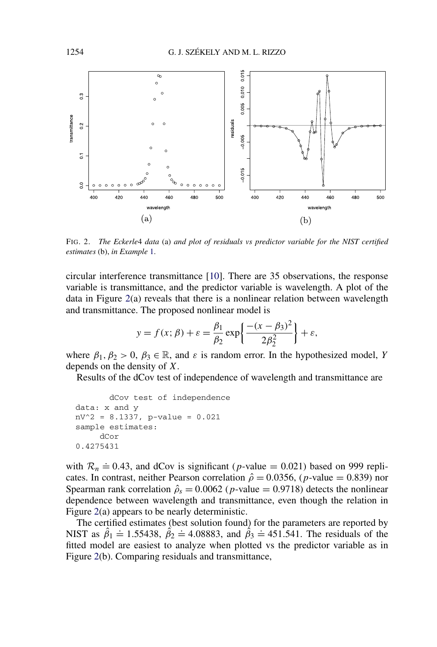

FIG. 2. *The Eckerle*4 *data* (a) *and plot of residuals vs predictor variable for the NIST certified estimates* (b), *in Example* [1.](#page-17-0)

circular interference transmittance [\[10\]](#page-28-0). There are 35 observations, the response variable is transmittance, and the predictor variable is wavelength. A plot of the data in Figure  $2(a)$  reveals that there is a nonlinear relation between wavelength and transmittance. The proposed nonlinear model is

$$
y = f(x; \beta) + \varepsilon = \frac{\beta_1}{\beta_2} \exp\left\{ \frac{-(x - \beta_3)^2}{2\beta_2^2} \right\} + \varepsilon,
$$

where  $\beta_1, \beta_2 > 0, \beta_3 \in \mathbb{R}$ , and  $\varepsilon$  is random error. In the hypothesized model, *Y* depends on the density of *X*.

Results of the dCov test of independence of wavelength and transmittance are

```
dCov test of independence
data: x and y
nV^2 = 8.1337, p-value = 0.021
sample estimates:
     dCor
0.4275431
```
with  $\mathcal{R}_n \doteq 0.43$ , and dCov is significant (*p*-value = 0.021) based on 999 replicates. In contrast, neither Pearson correlation  $\hat{\rho} = 0.0356$ , (*p*-value = 0.839) nor Spearman rank correlation  $\hat{\rho}_s = 0.0062$  (*p*-value = 0.9718) detects the nonlinear dependence between wavelength and transmittance, even though the relation in Figure 2(a) appears to be nearly deterministic.

The certified estimates (best solution found) for the parameters are reported by NIST as  $\hat{\beta}_1 \stackrel{\text{def}}{=} 1.55438$ ,  $\hat{\beta}_2 \stackrel{\text{def}}{=} 4.08883$ , and  $\hat{\beta}_3 \stackrel{\text{def}}{=} 451.541$ . The residuals of the fitted model are easiest to analyze when plotted vs the predictor variable as in Figure 2(b). Comparing residuals and transmittance,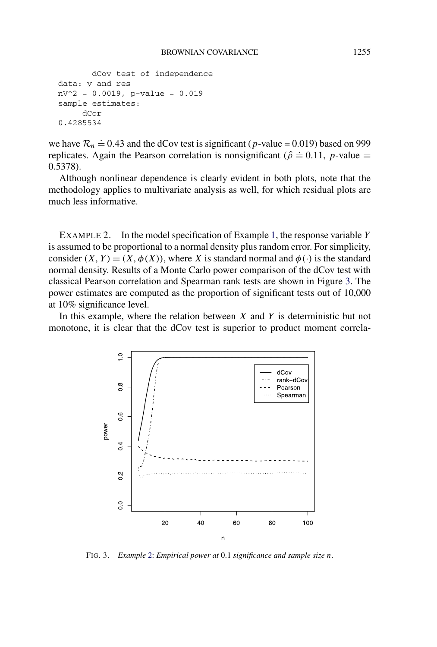```
dCov test of independence
data: y and res
nV^2 = 0.0019, p-value = 0.019
sample estimates:
     dCor
0.4285534
```
we have  $\mathcal{R}_n = 0.43$  and the dCov test is significant (*p*-value = 0.019) based on 999 replicates. Again the Pearson correlation is nonsignificant ( $\hat{\rho} = 0.11$ , *p*-value = 0.5378).

Although nonlinear dependence is clearly evident in both plots, note that the methodology applies to multivariate analysis as well, for which residual plots are much less informative.

EXAMPLE 2. In the model specification of Example [1,](#page-17-0) the response variable *Y* is assumed to be proportional to a normal density plus random error. For simplicity, consider  $(X, Y) = (X, \phi(X))$ , where *X* is standard normal and  $\phi(\cdot)$  is the standard normal density. Results of a Monte Carlo power comparison of the dCov test with classical Pearson correlation and Spearman rank tests are shown in Figure 3. The power estimates are computed as the proportion of significant tests out of 10,000 at 10% significance level.

In this example, where the relation between *X* and *Y* is deterministic but not monotone, it is clear that the dCov test is superior to product moment correla-



FIG. 3. *Example* [2:](#page-20-0) *Empirical power at* 0*.*1 *significance and sample size n*.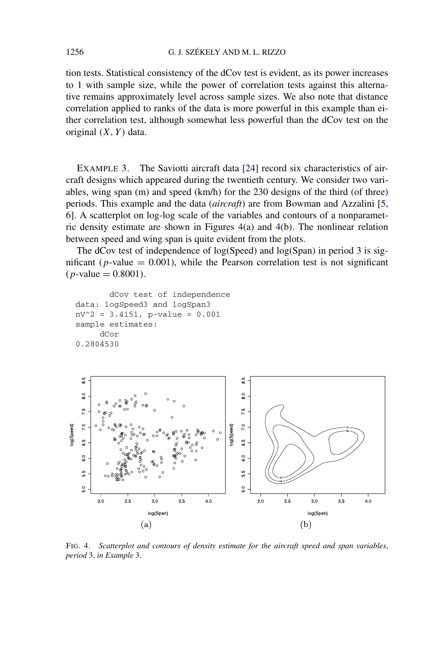<span id="page-20-0"></span>tion tests. Statistical consistency of the dCov test is evident, as its power increases to 1 with sample size, while the power of correlation tests against this alternative remains approximately level across sample sizes. We also note that distance correlation applied to ranks of the data is more powerful in this example than either correlation test, although somewhat less powerful than the dCov test on the original *(X, Y )* data.

EXAMPLE 3. The Saviotti aircraft data [\[24\]](#page-29-0) record six characteristics of aircraft designs which appeared during the twentieth century. We consider two variables, wing span (m) and speed (km/h) for the 230 designs of the third (of three) periods. This example and the data (*aircraft*) are from Bowman and Azzalini [\[5,](#page-28-0) [6\]](#page-28-0). A scatterplot on log-log scale of the variables and contours of a nonparametric density estimate are shown in Figures 4(a) and 4(b). The nonlinear relation between speed and wing span is quite evident from the plots.

The dCov test of independence of log(Speed) and log(Span) in period 3 is significant ( $p$ -value = 0.001), while the Pearson correlation test is not significant  $(p$ -value = 0.8001).

```
dCov test of independence
data: logSpeed3 and logSpan3
nV^2 = 3.4151, p-value = 0.001
sample estimates:
     dCor
0.2804530
```


FIG. 4. *Scatterplot and contours of density estimate for the aircraft speed and span variables*, *period* 3, *in Example* 3.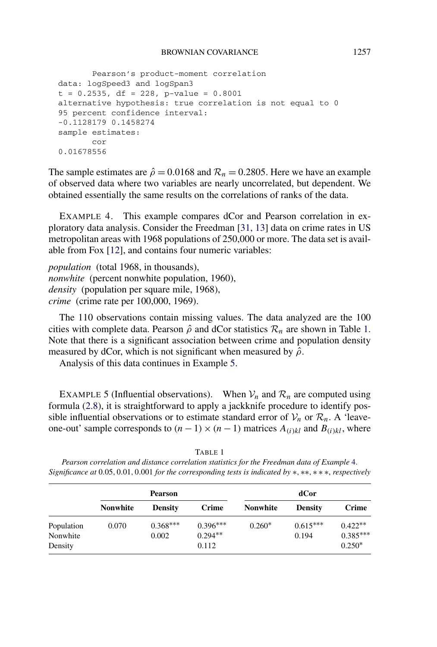```
Pearson's product-moment correlation
data: logSpeed3 and logSpan3
t = 0.2535, df = 228, p-value = 0.8001
alternative hypothesis: true correlation is not equal to 0
95 percent confidence interval:
-0.1128179 0.1458274
sample estimates:
       cor
0.01678556
```
The sample estimates are  $\hat{\rho} = 0.0168$  and  $\mathcal{R}_n = 0.2805$ . Here we have an example of observed data where two variables are nearly uncorrelated, but dependent. We obtained essentially the same results on the correlations of ranks of the data.

EXAMPLE 4. This example compares dCor and Pearson correlation in exploratory data analysis. Consider the Freedman [\[31, 13\]](#page-29-0) data on crime rates in US metropolitan areas with 1968 populations of 250,000 or more. The data set is available from Fox [\[12\]](#page-28-0), and contains four numeric variables:

*population* (total 1968, in thousands), *nonwhite* (percent nonwhite population, 1960), *density* (population per square mile, 1968), *crime* (crime rate per 100,000, 1969).

The 110 observations contain missing values. The data analyzed are the 100 cities with complete data. Pearson  $\hat{\rho}$  and dCor statistics  $\mathcal{R}_n$  are shown in Table 1. Note that there is a significant association between crime and population density measured by dCor, which is not significant when measured by  $\hat{\rho}$ .

Analysis of this data continues in Example 5.

EXAMPLE 5 (Influential observations). When  $V_n$  and  $\mathcal{R}_n$  are computed using formula [\(2.8\)](#page-6-0), it is straightforward to apply a jackknife procedure to identify possible influential observations or to estimate standard error of  $V_n$  or  $\mathcal{R}_n$ . A 'leaveone-out' sample corresponds to  $(n-1) \times (n-1)$  matrices  $A_{(i)kl}$  and  $B_{(i)kl}$ , where

TABLE 1

| Pearson correlation and distance correlation statistics for the Freedman data of Example 4.                                 |  |
|-----------------------------------------------------------------------------------------------------------------------------|--|
| Significance at 0.05, 0.01, 0.001 for the corresponding tests is indicated by $\ast, \ast, \ast, \ast, \ast$ , respectively |  |

|                                   | <b>Pearson</b>  |                     |                                  | dCor            |                     |                                     |  |
|-----------------------------------|-----------------|---------------------|----------------------------------|-----------------|---------------------|-------------------------------------|--|
|                                   | <b>Nonwhite</b> | <b>Density</b>      | Crime                            | <b>Nonwhite</b> | <b>Density</b>      | Crime                               |  |
| Population<br>Nonwhite<br>Density | 0.070           | $0.368***$<br>0.002 | $0.396***$<br>$0.294**$<br>0.112 | $0.260*$        | $0.615***$<br>0.194 | $0.422**$<br>$0.385***$<br>$0.250*$ |  |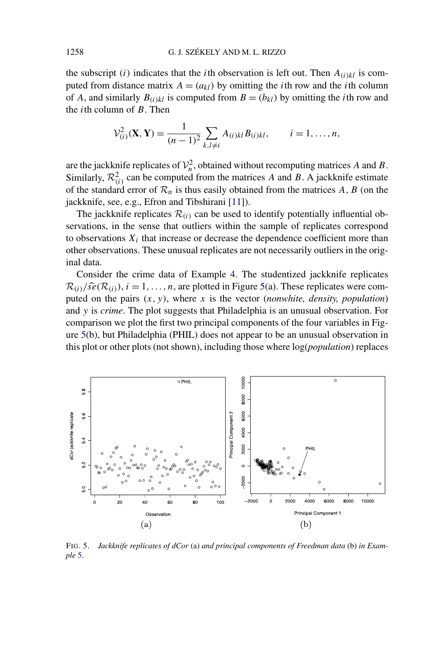the subscript *(i)* indicates that the *i*th observation is left out. Then  $A_{(i)kl}$  is computed from distance matrix  $A = (a_{kl})$  by omitting the *i*th row and the *i*th column of *A*, and similarly  $B_{(i)kl}$  is computed from  $B = (b_{kl})$  by omitting the *i*th row and the *i*th column of *B*. Then

$$
\mathcal{V}_{(i)}^2(\mathbf{X}, \mathbf{Y}) = \frac{1}{(n-1)^2} \sum_{k,l \neq i} A_{(i)kl} B_{(i)kl}, \qquad i = 1, \dots, n,
$$

are the jackknife replicates of  $\mathcal{V}_n^2$ , obtained without recomputing matrices *A* and *B*. Similarly,  $\mathcal{R}_{(i)}^2$  can be computed from the matrices *A* and *B*. A jackknife estimate of the standard error of  $\mathcal{R}_n$  is thus easily obtained from the matrices A, B (on the jackknife, see, e.g., Efron and Tibshirani [\[11\]](#page-28-0)).

The jackknife replicates  $\mathcal{R}_{(i)}$  can be used to identify potentially influential observations, in the sense that outliers within the sample of replicates correspond to observations  $X_i$  that increase or decrease the dependence coefficient more than other observations. These unusual replicates are not necessarily outliers in the original data.

Consider the crime data of Example [4.](#page-21-0) The studentized jackknife replicates  $\mathcal{R}(i)/\widehat{se}(\mathcal{R}(i))$ ,  $i = 1, \ldots, n$ , are plotted in Figure 5(a). These replicates were computed on the pairs *(x, y)*, where *x* is the vector (*nonwhite, density, population*) and *y* is *crime*. The plot suggests that Philadelphia is an unusual observation. For comparison we plot the first two principal components of the four variables in Figure 5(b), but Philadelphia (PHIL) does not appear to be an unusual observation in this plot or other plots (not shown), including those where log(*population*) replaces



FIG. 5. *Jackknife replicates of dCor* (a) *and principal components of Freedman data* (b) *in Example* [5.](#page-21-0)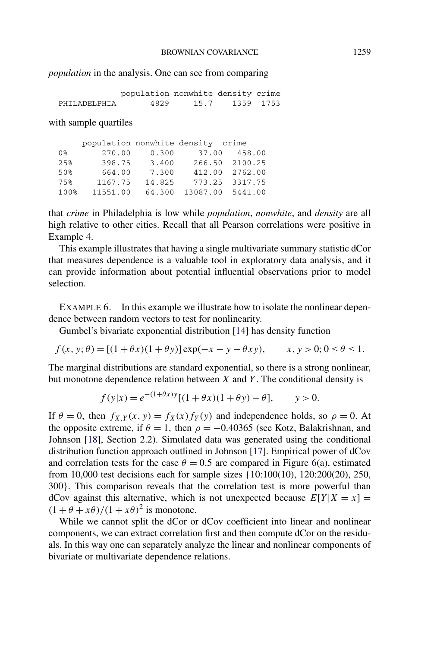### <span id="page-23-0"></span>*population* in the analysis. One can see from comparing

|              | population nonwhite density crime |      |           |  |
|--------------|-----------------------------------|------|-----------|--|
| PHILADELPHIA | 4829                              | 15.7 | 1359 1753 |  |

with sample quartiles

|      | population nonwhite density crime |        |       |                  |
|------|-----------------------------------|--------|-------|------------------|
| 0%   | 270.00                            | 0.300  | 37.00 | 458.00           |
| 25%  | 398.75                            | 3.400  |       | 266.50 2100.25   |
| 50%  | 664.00                            | 7.300  |       | 412.00 2762.00   |
| 75%  | 1167.75                           | 14.825 |       | 773.25 3317.75   |
| 100% | 11551.00                          | 64.300 |       | 13087.00 5441.00 |

that *crime* in Philadelphia is low while *population*, *nonwhite*, and *density* are all high relative to other cities. Recall that all Pearson correlations were positive in Example [4.](#page-21-0)

This example illustrates that having a single multivariate summary statistic dCor that measures dependence is a valuable tool in exploratory data analysis, and it can provide information about potential influential observations prior to model selection.

EXAMPLE 6. In this example we illustrate how to isolate the nonlinear dependence between random vectors to test for nonlinearity.

Gumbel's bivariate exponential distribution [\[14\]](#page-28-0) has density function

 $f(x, y; \theta) = [(1 + \theta x)(1 + \theta y)] \exp(-x - y - \theta xy), \quad x, y > 0; 0 \le \theta \le 1.$ 

The marginal distributions are standard exponential, so there is a strong nonlinear, but monotone dependence relation between *X* and *Y* . The conditional density is

$$
f(y|x) = e^{-(1+\theta x)y} [(1+\theta x)(1+\theta y) - \theta], \quad y > 0.
$$

If  $\theta = 0$ , then  $f_X y(x, y) = f_X(x) f_Y(y)$  and independence holds, so  $\rho = 0$ . At the opposite extreme, if  $\theta = 1$ , then  $\rho = -0.40365$  (see Kotz, Balakrishnan, and Johnson [\[18\]](#page-29-0), Section 2.2). Simulated data was generated using the conditional distribution function approach outlined in Johnson [\[17\]](#page-29-0). Empirical power of dCov and correlation tests for the case  $\theta = 0.5$  are compared in Figure [6\(](#page-24-0)a), estimated from 10,000 test decisions each for sample sizes {10:100(10), 120:200(20), 250, 300}. This comparison reveals that the correlation test is more powerful than dCov against this alternative, which is not unexpected because  $E[Y|X = x] =$  $(1 + \theta + x\theta)/(1 + x\theta)^2$  is monotone.

While we cannot split the dCor or dCov coefficient into linear and nonlinear components, we can extract correlation first and then compute dCor on the residuals. In this way one can separately analyze the linear and nonlinear components of bivariate or multivariate dependence relations.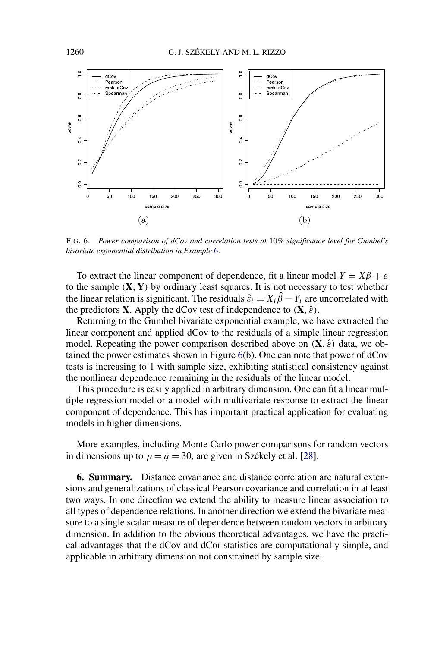<span id="page-24-0"></span>

FIG. 6. *Power comparison of dCov and correlation tests at* 10*% significance level for Gumbel's bivariate exponential distribution in Example* [6.](#page-23-0)

To extract the linear component of dependence, fit a linear model  $Y = X\beta + \varepsilon$ to the sample  $(X, Y)$  by ordinary least squares. It is not necessary to test whether the linear relation is significant. The residuals  $\hat{\varepsilon}_i = X_i \hat{\beta} - Y_i$  are uncorrelated with the predictors **X**. Apply the dCov test of independence to  $(X, \hat{\varepsilon})$ .

Returning to the Gumbel bivariate exponential example, we have extracted the linear component and applied dCov to the residuals of a simple linear regression model. Repeating the power comparison described above on  $(X, \hat{\varepsilon})$  data, we obtained the power estimates shown in Figure 6(b). One can note that power of dCov tests is increasing to 1 with sample size, exhibiting statistical consistency against the nonlinear dependence remaining in the residuals of the linear model.

This procedure is easily applied in arbitrary dimension. One can fit a linear multiple regression model or a model with multivariate response to extract the linear component of dependence. This has important practical application for evaluating models in higher dimensions.

More examples, including Monte Carlo power comparisons for random vectors in dimensions up to  $p = q = 30$ , are given in Székely et al. [\[28\]](#page-29-0).

**6. Summary.** Distance covariance and distance correlation are natural extensions and generalizations of classical Pearson covariance and correlation in at least two ways. In one direction we extend the ability to measure linear association to all types of dependence relations. In another direction we extend the bivariate measure to a single scalar measure of dependence between random vectors in arbitrary dimension. In addition to the obvious theoretical advantages, we have the practical advantages that the dCov and dCor statistics are computationally simple, and applicable in arbitrary dimension not constrained by sample size.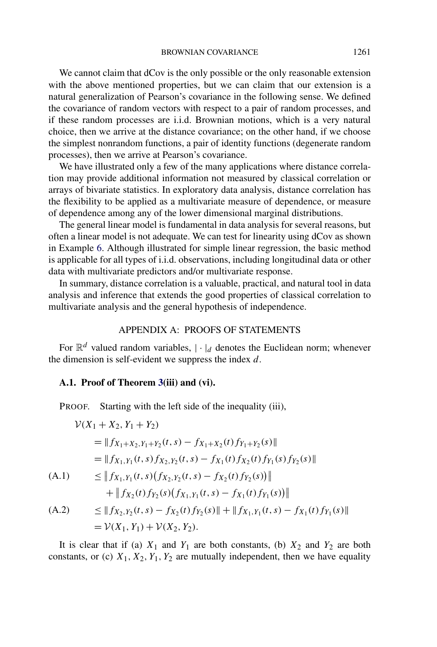<span id="page-25-0"></span>We cannot claim that dCov is the only possible or the only reasonable extension with the above mentioned properties, but we can claim that our extension is a natural generalization of Pearson's covariance in the following sense. We defined the covariance of random vectors with respect to a pair of random processes, and if these random processes are i.i.d. Brownian motions, which is a very natural choice, then we arrive at the distance covariance; on the other hand, if we choose the simplest nonrandom functions, a pair of identity functions (degenerate random processes), then we arrive at Pearson's covariance.

We have illustrated only a few of the many applications where distance correlation may provide additional information not measured by classical correlation or arrays of bivariate statistics. In exploratory data analysis, distance correlation has the flexibility to be applied as a multivariate measure of dependence, or measure of dependence among any of the lower dimensional marginal distributions.

The general linear model is fundamental in data analysis for several reasons, but often a linear model is not adequate. We can test for linearity using dCov as shown in Example [6.](#page-23-0) Although illustrated for simple linear regression, the basic method is applicable for all types of i.i.d. observations, including longitudinal data or other data with multivariate predictors and/or multivariate response.

In summary, distance correlation is a valuable, practical, and natural tool in data analysis and inference that extends the good properties of classical correlation to multivariate analysis and the general hypothesis of independence.

### APPENDIX A: PROOFS OF STATEMENTS

For  $\mathbb{R}^d$  valued random variables,  $|\cdot|_d$  denotes the Euclidean norm; whenever the dimension is self-evident we suppress the index *d*.

### **A.1. Proof of Theorem [3\(](#page-8-0)iii) and (vi).**

PROOF. Starting with the left side of the inequality (iii),

$$
\mathcal{V}(X_1 + X_2, Y_1 + Y_2)
$$
\n
$$
= \|f_{X_1+X_2,Y_1+Y_2}(t,s) - f_{X_1+X_2}(t)f_{Y_1+Y_2}(s)\|
$$
\n
$$
= \|f_{X_1,Y_1}(t,s)f_{X_2,Y_2}(t,s) - f_{X_1}(t)f_{X_2}(t)f_{Y_1}(s)f_{Y_2}(s)\|
$$
\n(A.1) 
$$
\leq \|f_{X_1,Y_1}(t,s)(f_{X_2,Y_2}(t,s) - f_{X_2}(t)f_{Y_2}(s))\|
$$
\n
$$
+ \|f_{X_2}(t)f_{Y_2}(s)(f_{X_1,Y_1}(t,s) - f_{X_1}(t)f_{Y_1}(s))\|
$$
\n(A.2) 
$$
\leq \|f_{X_2,Y_2}(t,s) - f_{X_2}(t)f_{Y_2}(s)\| + \|f_{X_1,Y_1}(t,s) - f_{X_1}(t)f_{Y_1}(s)\|
$$
\n
$$
= \mathcal{V}(X_1, Y_1) + \mathcal{V}(X_2, Y_2).
$$

It is clear that if (a)  $X_1$  and  $Y_1$  are both constants, (b)  $X_2$  and  $Y_2$  are both constants, or (c)  $X_1, X_2, Y_1, Y_2$  are mutually independent, then we have equality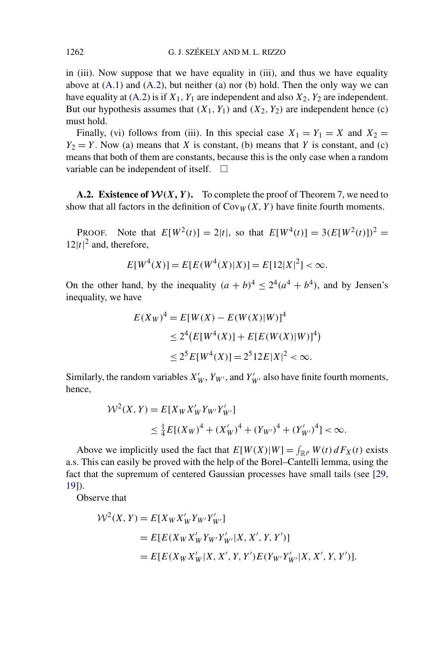in (iii). Now suppose that we have equality in (iii), and thus we have equality above at  $(A.1)$  and  $(A.2)$ , but neither (a) nor (b) hold. Then the only way we can have equality at  $(A.2)$  is if  $X_1, Y_1$  are independent and also  $X_2, Y_2$  are independent. But our hypothesis assumes that  $(X_1, Y_1)$  and  $(X_2, Y_2)$  are independent hence (c) must hold.

Finally, (vi) follows from (iii). In this special case  $X_1 = Y_1 = X$  and  $X_2 = Y_2$  $Y_2 = Y$ . Now (a) means that *X* is constant, (b) means that *Y* is constant, and (c) means that both of them are constants, because this is the only case when a random variable can be independent of itself.  $\Box$ 

**A.2. Existence of**  $W(X, Y)$ **.** To complete the proof of Theorem [7,](#page-13-0) we need to show that all factors in the definition of  $Cov_W(X, Y)$  have finite fourth moments.

PROOF. Note that  $E[W^2(t)] = 2|t|$ , so that  $E[W^4(t)] = 3(E[W^2(t)])^2$  $12|t|^2$  and, therefore,

$$
E[W^{4}(X)] = E[E(W^{4}(X)|X)] = E[12|X|^{2}] < \infty.
$$

On the other hand, by the inequality  $(a + b)^4 \leq 2^4(a^4 + b^4)$ , and by Jensen's inequality, we have

$$
E(X_W)^4 = E[W(X) - E(W(X)|W)]^4
$$
  
\n
$$
\leq 2^4 (E[W^4(X)] + E[E(W(X)|W)]^4)
$$
  
\n
$$
\leq 2^5 E[W^4(X)] = 2^5 12E|X|^2 < \infty.
$$

Similarly, the random variables  $X'_W$ ,  $Y_{W'}$ , and  $Y'_{W'}$  also have finite fourth moments, hence,

$$
\mathcal{W}^2(X, Y) = E[X_W X'_W Y_{W'} Y'_{W'}]
$$
  
\n
$$
\leq \frac{1}{4} E[(X_W)^4 + (X'_W)^4 + (Y_{W'}^4)^4 + (Y'_{W'})^4] < \infty.
$$

Above we implicitly used the fact that  $E[W(X)|W] = \int_{\mathbb{R}^p} W(t) dF_X(t)$  exists a.s. This can easily be proved with the help of the Borel–Cantelli lemma, using the fact that the supremum of centered Gaussian processes have small tails (see [\[29,](#page-29-0) [19\]](#page-29-0)).

Observe that

$$
\mathcal{W}^2(X, Y) = E[X_W X'_W Y_{W'} Y'_{W'}]
$$
  
=  $E[E(X_W X'_W Y_{W'} Y'_{W'} | X, X', Y, Y')]$   
=  $E[E(X_W X'_W | X, X', Y, Y') E(Y_{W'} Y'_{W'} | X, X', Y, Y')].$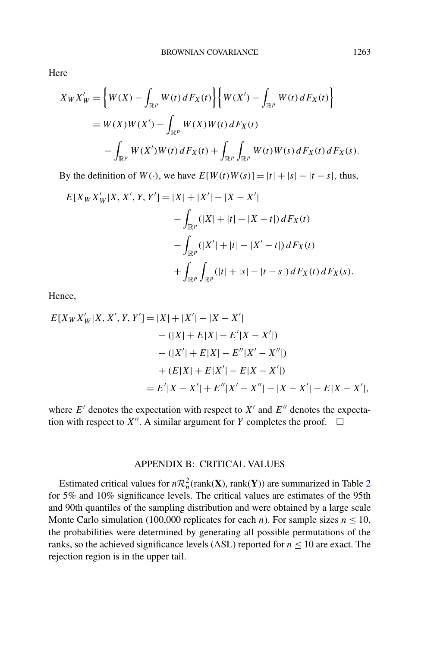Here

$$
X_{W}X'_{W} = \left\{ W(X) - \int_{\mathbb{R}^{p}} W(t) dF_{X}(t) \right\} \left\{ W(X') - \int_{\mathbb{R}^{p}} W(t) dF_{X}(t) \right\}
$$
  
=  $W(X)W(X') - \int_{\mathbb{R}^{p}} W(X)W(t) dF_{X}(t)$   
 $- \int_{\mathbb{R}^{p}} W(X')W(t) dF_{X}(t) + \int_{\mathbb{R}^{p}} \int_{\mathbb{R}^{p}} W(t)W(s) dF_{X}(t) dF_{X}(s).$ 

By the definition of  $W(\cdot)$ , we have  $E[W(t)W(s)] = |t| + |s| - |t - s|$ , thus,

$$
E[X_{W}X'_{W}|X, X', Y, Y'] = |X| + |X'| - |X - X'|
$$
  

$$
- \int_{\mathbb{R}^{p}} (|X| + |t| - |X - t|) dF_{X}(t)
$$
  

$$
- \int_{\mathbb{R}^{p}} (|X'| + |t| - |X' - t|) dF_{X}(t)
$$
  

$$
+ \int_{\mathbb{R}^{p}} \int_{\mathbb{R}^{p}} (|t| + |s| - |t - s|) dF_{X}(t) dF_{X}(s).
$$

Hence,

$$
E[X_{W}X'_{W}|X, X', Y, Y'] = |X| + |X'| - |X - X'|
$$
  
 
$$
- (|X| + E|X| - E'|X - X'|)
$$
  
 
$$
- (|X'| + E|X| - E''|X' - X''|)
$$
  
 
$$
+ (E|X| + E|X'| - E|X - X'|)
$$
  
 
$$
= E'|X - X'| + E''|X' - X''| - |X - X'| - E|X - X'|,
$$

where  $E'$  denotes the expectation with respect to  $X'$  and  $E''$  denotes the expectation with respect to  $X''$ . A similar argument for *Y* completes the proof.  $\Box$ 

### APPENDIX B: CRITICAL VALUES

Estimated critical values for  $nR_n^2$  $nR_n^2$ (rank(**X**), rank(**Y**)) are summarized in Table 2 for 5% and 10% significance levels. The critical values are estimates of the 95th and 90th quantiles of the sampling distribution and were obtained by a large scale Monte Carlo simulation (100,000 replicates for each *n*). For sample sizes  $n \le 10$ , the probabilities were determined by generating all possible permutations of the ranks, so the achieved significance levels (ASL) reported for  $n \le 10$  are exact. The rejection region is in the upper tail.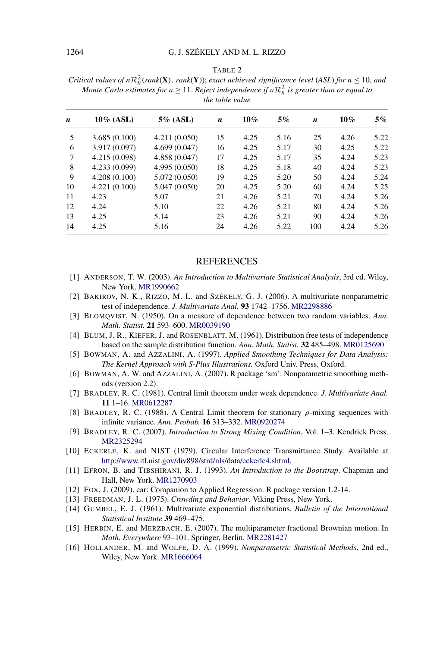#### TABLE 2

<span id="page-28-0"></span>*Critical values of*  $nR_n^2$ ( $rank(X)$ ,  $rank(Y)$ ); *exact achieved significance level* (*ASL*) *for*  $n \le 10$ , *and Monte Carlo estimates for n*  $\geq$  11. *Reject independence if n* $\mathcal{R}_n^2$  *is greater than or equal to the table value*

| n  | $10\%$ (ASL)  | 5% (ASL)      | n  | $10\%$ | 5%   | n   | 10%  | $5\%$ |
|----|---------------|---------------|----|--------|------|-----|------|-------|
| 5  | 3.685(0.100)  | 4.211(0.050)  | 15 | 4.25   | 5.16 | 25  | 4.26 | 5.22  |
| 6  | 3.917 (0.097) | 4.699(0.047)  | 16 | 4.25   | 5.17 | 30  | 4.25 | 5.22  |
| 7  | 4.215 (0.098) | 4.858 (0.047) | 17 | 4.25   | 5.17 | 35  | 4.24 | 5.23  |
| 8  | 4.233 (0.099) | 4.995 (0.050) | 18 | 4.25   | 5.18 | 40  | 4.24 | 5.23  |
| 9  | 4.208(0.100)  | 5.072 (0.050) | 19 | 4.25   | 5.20 | 50  | 4.24 | 5.24  |
| 10 | 4.221(0.100)  | 5.047 (0.050) | 20 | 4.25   | 5.20 | 60  | 4.24 | 5.25  |
| 11 | 4.23          | 5.07          | 21 | 4.26   | 5.21 | 70  | 4.24 | 5.26  |
| 12 | 4.24          | 5.10          | 22 | 4.26   | 5.21 | 80  | 4.24 | 5.26  |
| 13 | 4.25          | 5.14          | 23 | 4.26   | 5.21 | 90  | 4.24 | 5.26  |
| 14 | 4.25          | 5.16          | 24 | 4.26   | 5.22 | 100 | 4.24 | 5.26  |

#### **REFERENCES**

- [1] ANDERSON, T. W. (2003). *An Introduction to Multivariate Statistical Analysis*, 3rd ed. Wiley, New York. [MR1990662](http://www.ams.org/mathscinet-getitem?mr=1990662)
- [2] BAKIROV, N. K., RIZZO, M. L. and SZÉKELY, G. J. (2006). A multivariate nonparametric test of independence. *J. Multivariate Anal.* **93** 1742–1756. [MR2298886](http://www.ams.org/mathscinet-getitem?mr=2298886)
- [3] BLOMQVIST, N. (1950). On a measure of dependence between two random variables. *Ann. Math. Statist.* **21** 593–600. [MR0039190](http://www.ams.org/mathscinet-getitem?mr=0039190)
- [4] BLUM, J. R., KIEFER, J. and ROSENBLATT, M. (1961). Distribution free tests of independence based on the sample distribution function. *Ann. Math. Statist.* **32** 485–498. [MR0125690](http://www.ams.org/mathscinet-getitem?mr=0125690)
- [5] BOWMAN, A. and AZZALINI, A. (1997). *Applied Smoothing Techniques for Data Analysis: The Kernel Approach with S-Plus Illustrations.* Oxford Univ. Press, Oxford.
- [6] BOWMAN, A. W. and AZZALINI, A. (2007). R package 'sm': Nonparametric smoothing methods (version 2.2).
- [7] BRADLEY, R. C. (1981). Central limit theorem under weak dependence. *J. Multivariate Anal.* **11** 1–16. [MR0612287](http://www.ams.org/mathscinet-getitem?mr=0612287)
- [8] BRADLEY, R. C. (1988). A Central Limit theorem for stationary *ρ*-mixing sequences with infinite variance. *Ann. Probab.* **16** 313–332. [MR0920274](http://www.ams.org/mathscinet-getitem?mr=0920274)
- [9] BRADLEY, R. C. (2007). *Introduction to Strong Mixing Condition*, Vol. 1–3. Kendrick Press. [MR2325294](http://www.ams.org/mathscinet-getitem?mr=2325294)
- [10] ECKERLE, K. and NIST (1979). Circular Interference Transmittance Study. Available at <http://www.itl.nist.gov/div898/strd/nls/data/eckerle4.shtml>.
- [11] EFRON, B. and TIBSHIRANI, R. J. (1993). *An Introduction to the Bootstrap*. Chapman and Hall, New York. [MR1270903](http://www.ams.org/mathscinet-getitem?mr=1270903)
- [12] FOX, J. (2009). car: Companion to Applied Regression. R package version 1.2-14.
- [13] FREEDMAN, J. L. (1975). *Crowding and Behavior*. Viking Press, New York.
- [14] GUMBEL, E. J. (1961). Multivariate exponential distributions. *Bulletin of the International Statistical Institute* **39** 469–475.
- [15] HERBIN, E. and MERZBACH, E. (2007). The multiparameter fractional Brownian motion. In *Math. Everywhere* 93–101. Springer, Berlin. [MR2281427](http://www.ams.org/mathscinet-getitem?mr=2281427)
- [16] HOLLANDER, M. and WOLFE, D. A. (1999). *Nonparametric Statistical Methods*, 2nd ed., Wiley, New York. [MR1666064](http://www.ams.org/mathscinet-getitem?mr=1666064)